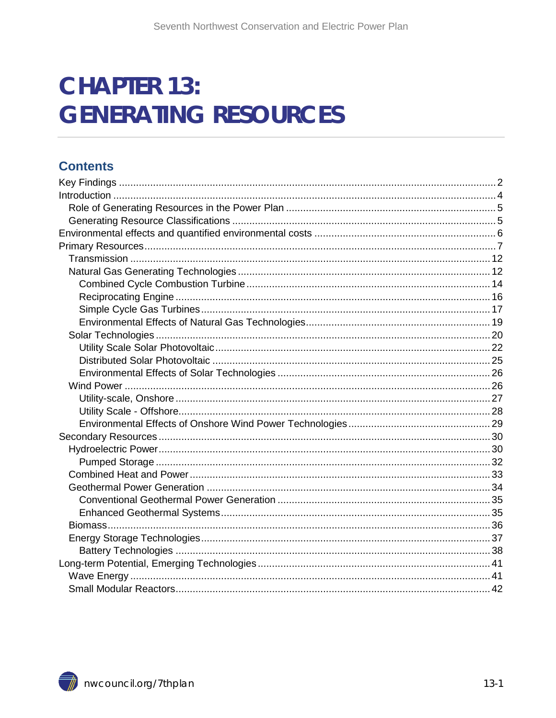# **CHAPTER 13: GENERATING RESOURCES**

## **Contents**

<span id="page-0-1"></span><span id="page-0-0"></span>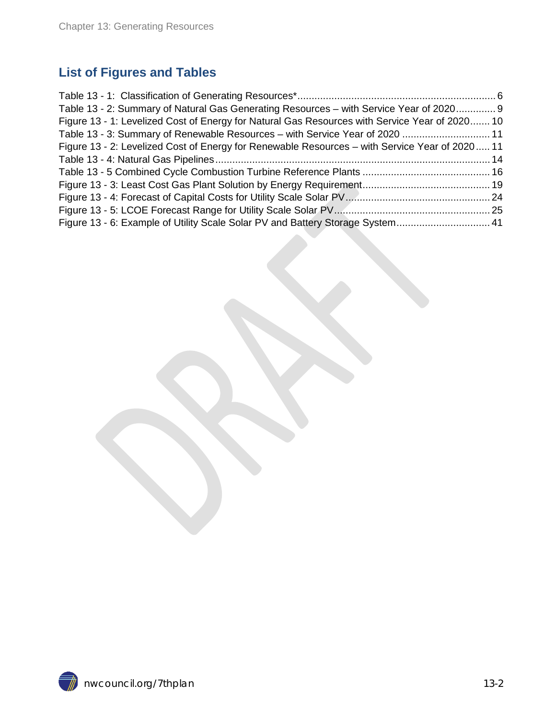## **List of Figures and Tables**

| Table 13 - 2: Summary of Natural Gas Generating Resources - with Service Year of 2020 9        |  |
|------------------------------------------------------------------------------------------------|--|
| Figure 13 - 1: Levelized Cost of Energy for Natural Gas Resources with Service Year of 2020 10 |  |
| Table 13 - 3: Summary of Renewable Resources - with Service Year of 2020  11                   |  |
| Figure 13 - 2: Levelized Cost of Energy for Renewable Resources – with Service Year of 2020 11 |  |
|                                                                                                |  |
|                                                                                                |  |
|                                                                                                |  |
|                                                                                                |  |
|                                                                                                |  |
| Figure 13 - 6: Example of Utility Scale Solar PV and Battery Storage System 41                 |  |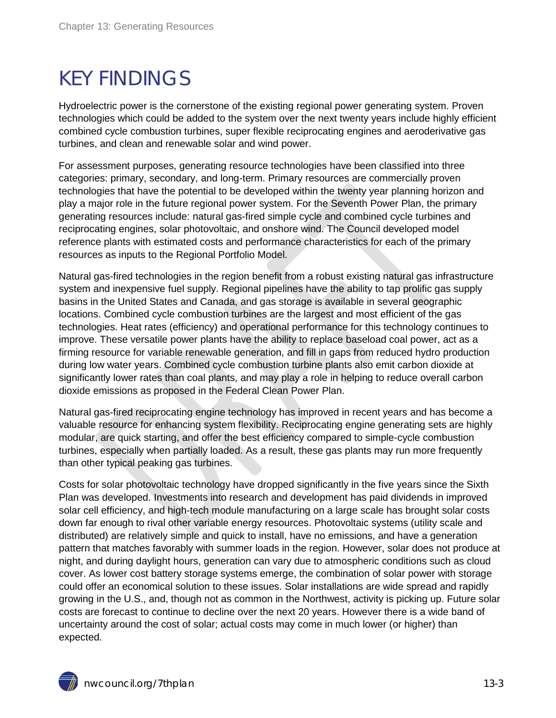# KEY FINDINGS

Hydroelectric power is the cornerstone of the existing regional power generating system. Proven technologies which could be added to the system over the next twenty years include highly efficient combined cycle combustion turbines, super flexible reciprocating engines and aeroderivative gas turbines, and clean and renewable solar and wind power.

For assessment purposes, generating resource technologies have been classified into three categories: primary, secondary, and long-term. Primary resources are commercially proven technologies that have the potential to be developed within the twenty year planning horizon and play a major role in the future regional power system. For the Seventh Power Plan, the primary generating resources include: natural gas-fired simple cycle and combined cycle turbines and reciprocating engines, solar photovoltaic, and onshore wind. The Council developed model reference plants with estimated costs and performance characteristics for each of the primary resources as inputs to the Regional Portfolio Model.

Natural gas-fired technologies in the region benefit from a robust existing natural gas infrastructure system and inexpensive fuel supply. Regional pipelines have the ability to tap prolific gas supply basins in the United States and Canada, and gas storage is available in several geographic locations. Combined cycle combustion turbines are the largest and most efficient of the gas technologies. Heat rates (efficiency) and operational performance for this technology continues to improve. These versatile power plants have the ability to replace baseload coal power, act as a firming resource for variable renewable generation, and fill in gaps from reduced hydro production during low water years. Combined cycle combustion turbine plants also emit carbon dioxide at significantly lower rates than coal plants, and may play a role in helping to reduce overall carbon dioxide emissions as proposed in the Federal Clean Power Plan.

Natural gas-fired reciprocating engine technology has improved in recent years and has become a valuable resource for enhancing system flexibility. Reciprocating engine generating sets are highly modular, are quick starting, and offer the best efficiency compared to simple-cycle combustion turbines, especially when partially loaded. As a result, these gas plants may run more frequently than other typical peaking gas turbines.

Costs for solar photovoltaic technology have dropped significantly in the five years since the Sixth Plan was developed. Investments into research and development has paid dividends in improved solar cell efficiency, and high-tech module manufacturing on a large scale has brought solar costs down far enough to rival other variable energy resources. Photovoltaic systems (utility scale and distributed) are relatively simple and quick to install, have no emissions, and have a generation pattern that matches favorably with summer loads in the region. However, solar does not produce at night, and during daylight hours, generation can vary due to atmospheric conditions such as cloud cover. As lower cost battery storage systems emerge, the combination of solar power with storage could offer an economical solution to these issues. Solar installations are wide spread and rapidly growing in the U.S., and, though not as common in the Northwest, activity is picking up. Future solar costs are forecast to continue to decline over the next 20 years. However there is a wide band of uncertainty around the cost of solar; actual costs may come in much lower (or higher) than expected.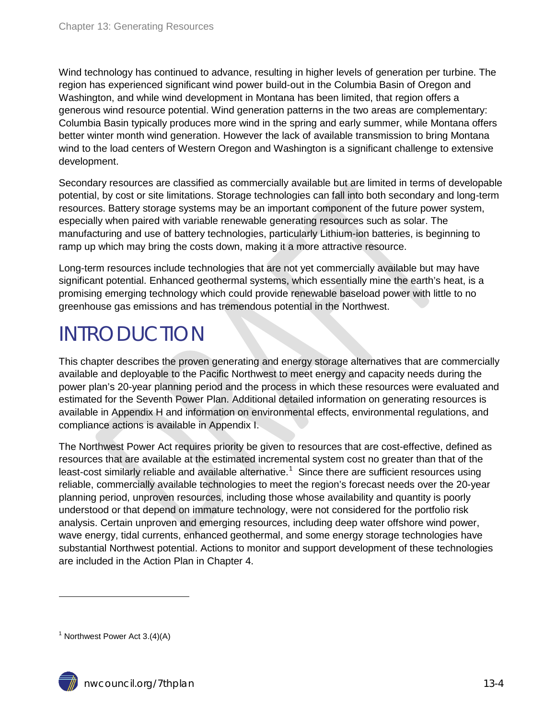Wind technology has continued to advance, resulting in higher levels of generation per turbine. The region has experienced significant wind power build-out in the Columbia Basin of Oregon and Washington, and while wind development in Montana has been limited, that region offers a generous wind resource potential. Wind generation patterns in the two areas are complementary: Columbia Basin typically produces more wind in the spring and early summer, while Montana offers better winter month wind generation. However the lack of available transmission to bring Montana wind to the load centers of Western Oregon and Washington is a significant challenge to extensive development.

Secondary resources are classified as commercially available but are limited in terms of developable potential, by cost or site limitations. Storage technologies can fall into both secondary and long-term resources. Battery storage systems may be an important component of the future power system, especially when paired with variable renewable generating resources such as solar. The manufacturing and use of battery technologies, particularly Lithium-ion batteries, is beginning to ramp up which may bring the costs down, making it a more attractive resource.

Long-term resources include technologies that are not yet commercially available but may have significant potential. Enhanced geothermal systems, which essentially mine the earth's heat, is a promising emerging technology which could provide renewable baseload power with little to no greenhouse gas emissions and has tremendous potential in the Northwest.

# <span id="page-3-0"></span>INTRODUCTION

This chapter describes the proven generating and energy storage alternatives that are commercially available and deployable to the Pacific Northwest to meet energy and capacity needs during the power plan's 20-year planning period and the process in which these resources were evaluated and estimated for the Seventh Power Plan. Additional detailed information on generating resources is available in Appendix H and information on environmental effects, environmental regulations, and compliance actions is available in Appendix I.

The Northwest Power Act requires priority be given to resources that are cost-effective, defined as resources that are available at the estimated incremental system cost no greater than that of the least-cost similarly reliable and available alternative.<sup>[1](#page-0-1)</sup> Since there are sufficient resources using reliable, commercially available technologies to meet the region's forecast needs over the 20-year planning period, unproven resources, including those whose availability and quantity is poorly understood or that depend on immature technology, were not considered for the portfolio risk analysis. Certain unproven and emerging resources, including deep water offshore wind power, wave energy, tidal currents, enhanced geothermal, and some energy storage technologies have substantial Northwest potential. Actions to monitor and support development of these technologies are included in the Action Plan in Chapter 4.

<span id="page-3-1"></span><sup>&</sup>lt;sup>1</sup> Northwest Power Act  $3.(4)(A)$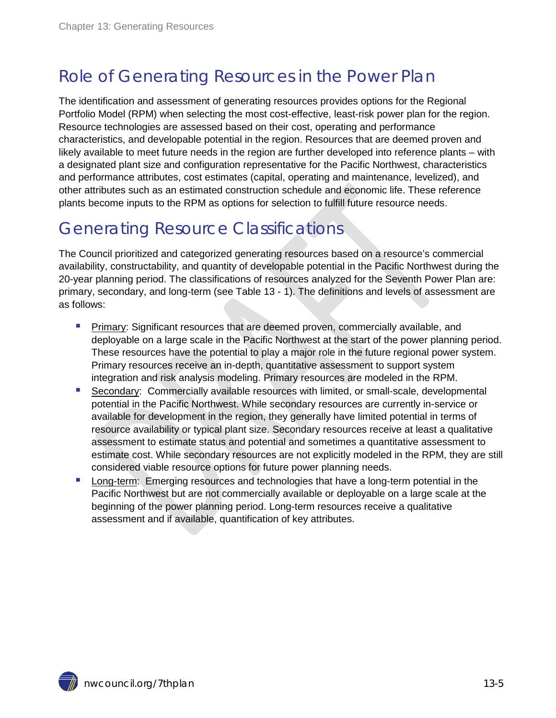# <span id="page-4-0"></span>Role of Generating Resources in the Power Plan

The identification and assessment of generating resources provides options for the Regional Portfolio Model (RPM) when selecting the most cost-effective, least-risk power plan for the region. Resource technologies are assessed based on their cost, operating and performance characteristics, and developable potential in the region. Resources that are deemed proven and likely available to meet future needs in the region are further developed into reference plants – with a designated plant size and configuration representative for the Pacific Northwest, characteristics and performance attributes, cost estimates (capital, operating and maintenance, levelized), and other attributes such as an estimated construction schedule and economic life. These reference plants become inputs to the RPM as options for selection to fulfill future resource needs.

## <span id="page-4-1"></span>Generating Resource Classifications

The Council prioritized and categorized generating resources based on a resource's commercial availability, constructability, and quantity of developable potential in the Pacific Northwest during the 20-year planning period. The classifications of resources analyzed for the Seventh Power Plan are: primary, secondary, and long-term (see Table 13 - 1). The definitions and levels of assessment are as follows:

- **Primary: Significant resources that are deemed proven, commercially available, and** deployable on a large scale in the Pacific Northwest at the start of the power planning period. These resources have the potential to play a major role in the future regional power system. Primary resources receive an in-depth, quantitative assessment to support system integration and risk analysis modeling. Primary resources are modeled in the RPM.
- Secondary: Commercially available resources with limited, or small-scale, developmental potential in the Pacific Northwest. While secondary resources are currently in-service or available for development in the region, they generally have limited potential in terms of resource availability or typical plant size. Secondary resources receive at least a qualitative assessment to estimate status and potential and sometimes a quantitative assessment to estimate cost. While secondary resources are not explicitly modeled in the RPM, they are still considered viable resource options for future power planning needs.
- **Long-term: Emerging resources and technologies that have a long-term potential in the** Pacific Northwest but are not commercially available or deployable on a large scale at the beginning of the power planning period. Long-term resources receive a qualitative assessment and if available, quantification of key attributes.

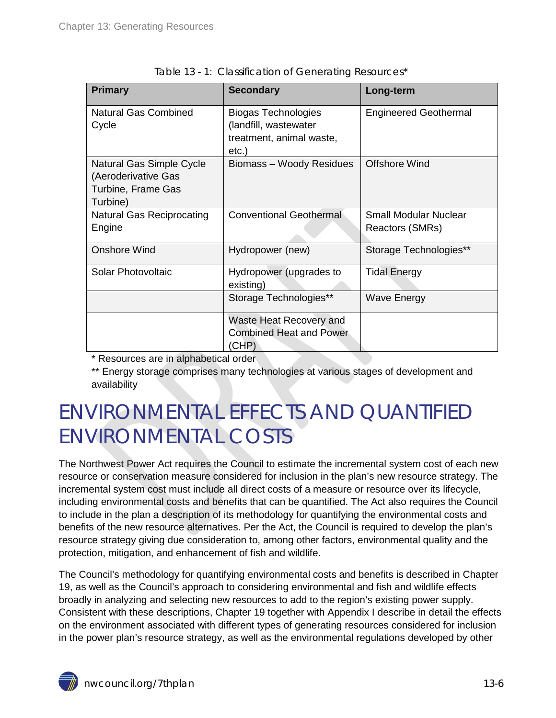<span id="page-5-1"></span>

| <b>Primary</b>                                                                    | <b>Secondary</b>                                                                         | Long-term                                       |
|-----------------------------------------------------------------------------------|------------------------------------------------------------------------------------------|-------------------------------------------------|
| <b>Natural Gas Combined</b><br>Cycle                                              | <b>Biogas Technologies</b><br>(landfill, wastewater<br>treatment, animal waste,<br>etc.) | <b>Engineered Geothermal</b>                    |
| Natural Gas Simple Cycle<br>(Aeroderivative Gas<br>Turbine, Frame Gas<br>Turbine) | Biomass - Woody Residues                                                                 | <b>Offshore Wind</b>                            |
| <b>Natural Gas Reciprocating</b><br>Engine                                        | <b>Conventional Geothermal</b>                                                           | <b>Small Modular Nuclear</b><br>Reactors (SMRs) |
| <b>Onshore Wind</b>                                                               | Hydropower (new)                                                                         | Storage Technologies**                          |
| Solar Photovoltaic                                                                | Hydropower (upgrades to<br>existing)                                                     | Tidal Energy                                    |
|                                                                                   | Storage Technologies**                                                                   | <b>Wave Energy</b>                              |
|                                                                                   | Waste Heat Recovery and<br><b>Combined Heat and Power</b><br>(CHP)                       |                                                 |

\* Resources are in alphabetical order

\*\* Energy storage comprises many technologies at various stages of development and availability

# <span id="page-5-0"></span>ENVIRONMENTAL EFFECTS AND QUANTIFIED ENVIRONMENTAL COSTS

The Northwest Power Act requires the Council to estimate the incremental system cost of each new resource or conservation measure considered for inclusion in the plan's new resource strategy. The incremental system cost must include all direct costs of a measure or resource over its lifecycle, including environmental costs and benefits that can be quantified. The Act also requires the Council to include in the plan a description of its methodology for quantifying the environmental costs and benefits of the new resource alternatives. Per the Act, the Council is required to develop the plan's resource strategy giving due consideration to, among other factors, environmental quality and the protection, mitigation, and enhancement of fish and wildlife.

The Council's methodology for quantifying environmental costs and benefits is described in Chapter 19, as well as the Council's approach to considering environmental and fish and wildlife effects broadly in analyzing and selecting new resources to add to the region's existing power supply. Consistent with these descriptions, Chapter 19 together with Appendix I describe in detail the effects on the environment associated with different types of generating resources considered for inclusion in the power plan's resource strategy, as well as the environmental regulations developed by other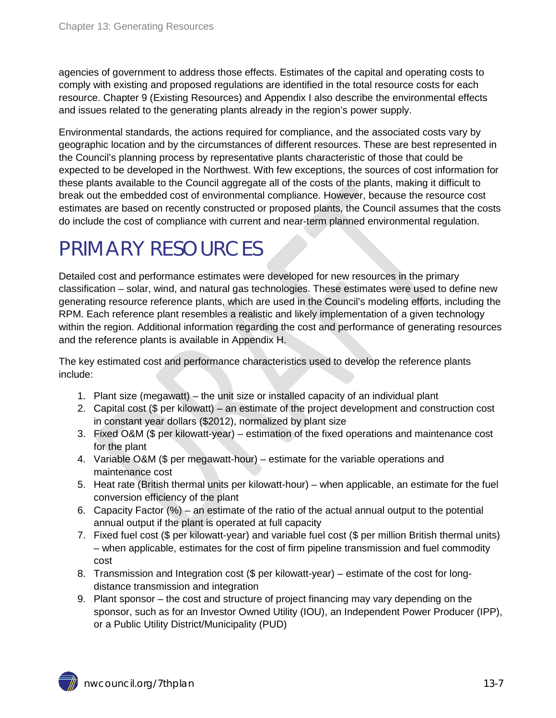agencies of government to address those effects. Estimates of the capital and operating costs to comply with existing and proposed regulations are identified in the total resource costs for each resource. Chapter 9 (Existing Resources) and Appendix I also describe the environmental effects and issues related to the generating plants already in the region's power supply.

Environmental standards, the actions required for compliance, and the associated costs vary by geographic location and by the circumstances of different resources. These are best represented in the Council's planning process by representative plants characteristic of those that could be expected to be developed in the Northwest. With few exceptions, the sources of cost information for these plants available to the Council aggregate all of the costs of the plants, making it difficult to break out the embedded cost of environmental compliance. However, because the resource cost estimates are based on recently constructed or proposed plants, the Council assumes that the costs do include the cost of compliance with current and near-term planned environmental regulation.

# <span id="page-6-0"></span>PRIMARY RESOURCES

Detailed cost and performance estimates were developed for new resources in the primary classification – solar, wind, and natural gas technologies. These estimates were used to define new generating resource reference plants, which are used in the Council's modeling efforts, including the RPM. Each reference plant resembles a realistic and likely implementation of a given technology within the region. Additional information regarding the cost and performance of generating resources and the reference plants is available in Appendix H.

The key estimated cost and performance characteristics used to develop the reference plants include:

- 1. Plant size (megawatt) the unit size or installed capacity of an individual plant
- 2. Capital cost (\$ per kilowatt) an estimate of the project development and construction cost in constant year dollars (\$2012), normalized by plant size
- 3. Fixed O&M (\$ per kilowatt-year) estimation of the fixed operations and maintenance cost for the plant
- 4. Variable O&M (\$ per megawatt-hour) estimate for the variable operations and maintenance cost
- 5. Heat rate (British thermal units per kilowatt-hour) when applicable, an estimate for the fuel conversion efficiency of the plant
- 6. Capacity Factor (%) an estimate of the ratio of the actual annual output to the potential annual output if the plant is operated at full capacity
- 7. Fixed fuel cost (\$ per kilowatt-year) and variable fuel cost (\$ per million British thermal units) – when applicable, estimates for the cost of firm pipeline transmission and fuel commodity cost
- 8. Transmission and Integration cost (\$ per kilowatt-year) estimate of the cost for longdistance transmission and integration
- 9. Plant sponsor the cost and structure of project financing may vary depending on the sponsor, such as for an Investor Owned Utility (IOU), an Independent Power Producer (IPP), or a Public Utility District/Municipality (PUD)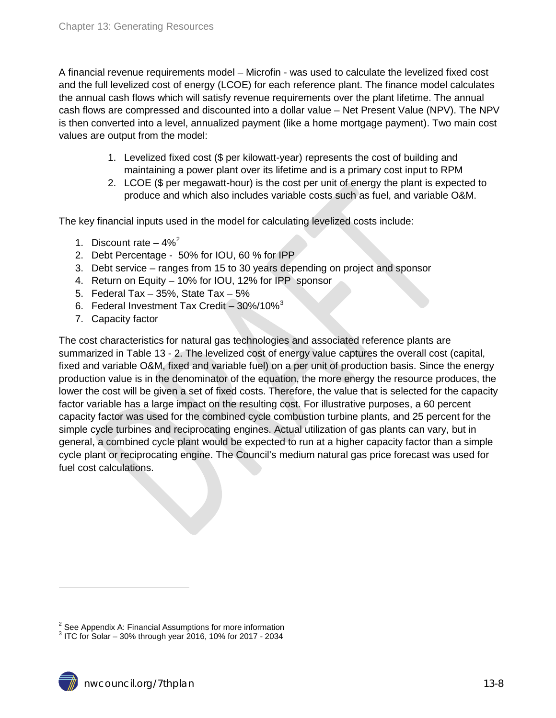A financial revenue requirements model – Microfin - was used to calculate the levelized fixed cost and the full levelized cost of energy (LCOE) for each reference plant. The finance model calculates the annual cash flows which will satisfy revenue requirements over the plant lifetime. The annual cash flows are compressed and discounted into a dollar value – Net Present Value (NPV). The NPV is then converted into a level, annualized payment (like a home mortgage payment). Two main cost values are output from the model:

- 1. Levelized fixed cost (\$ per kilowatt-year) represents the cost of building and maintaining a power plant over its lifetime and is a primary cost input to RPM
- 2. LCOE (\$ per megawatt-hour) is the cost per unit of energy the plant is expected to produce and which also includes variable costs such as fuel, and variable O&M.

The key financial inputs used in the model for calculating levelized costs include:

- 1. Discount rate  $-4\%^2$  $-4\%^2$
- 2. Debt Percentage 50% for IOU, 60 % for IPP
- 3. Debt service ranges from 15 to 30 years depending on project and sponsor
- 4. Return on Equity 10% for IOU, 12% for IPP sponsor
- 5. Federal Tax 35%, State Tax 5%
- 6. Federal Investment Tax Credit  $30\%/10\%^3$  $30\%/10\%^3$
- 7. Capacity factor

The cost characteristics for natural gas technologies and associated reference plants are summarized in Table 13 - 2. The levelized cost of energy value captures the overall cost (capital, fixed and variable O&M, fixed and variable fuel) on a per unit of production basis. Since the energy production value is in the denominator of the equation, the more energy the resource produces, the lower the cost will be given a set of fixed costs. Therefore, the value that is selected for the capacity factor variable has a large impact on the resulting cost. For illustrative purposes, a 60 percent capacity factor was used for the combined cycle combustion turbine plants, and 25 percent for the simple cycle turbines and reciprocating engines. Actual utilization of gas plants can vary, but in general, a combined cycle plant would be expected to run at a higher capacity factor than a simple cycle plant or reciprocating engine. The Council's medium natural gas price forecast was used for fuel cost calculations.

<span id="page-7-1"></span><span id="page-7-0"></span><sup>&</sup>lt;sup>2</sup> See Appendix A: Financial Assumptions for more information  $3$  ITC for Solar – 30% through year 2016, 10% for 2017 - 2034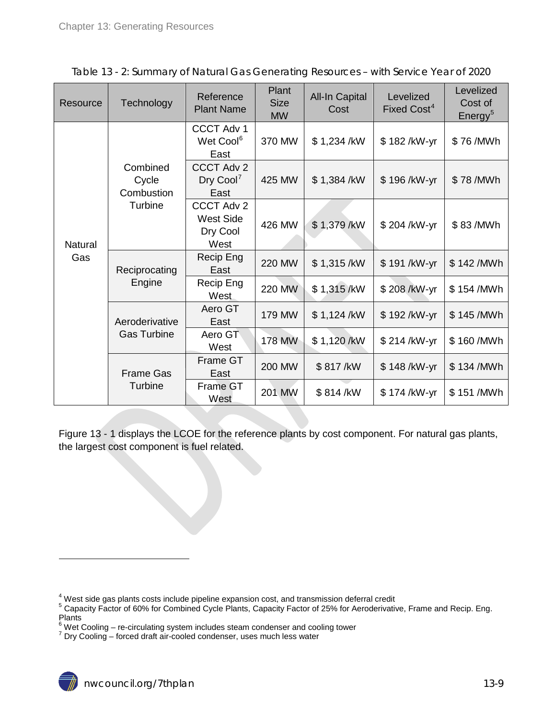| Resource       | Technology                      | Reference<br><b>Plant Name</b>                     | Plant<br><b>Size</b><br><b>MW</b> | <b>All-In Capital</b><br>Cost | Levelized<br>Fixed Cost <sup>4</sup> | Levelized<br>Cost of<br>Energy <sup>5</sup> |
|----------------|---------------------------------|----------------------------------------------------|-----------------------------------|-------------------------------|--------------------------------------|---------------------------------------------|
|                |                                 | <b>CCCT Adv 1</b><br>Wet Cool <sup>6</sup><br>East | 370 MW                            | \$1,234 /kW                   | \$182/kW-yr                          | \$76/MWh                                    |
|                | Combined<br>Cycle<br>Combustion | <b>CCCT Adv 2</b><br>Dry Cool <sup>7</sup><br>East | 425 MW                            | \$1,384/kW                    | \$196/kW-yr                          | \$78/MWh                                    |
| <b>Natural</b> | Turbine                         | CCCT Adv 2<br><b>West Side</b><br>Dry Cool<br>West | 426 MW                            | \$1,379/kW                    | \$204 /kW-yr                         | \$83/MWh                                    |
| Gas            | Reciprocating<br>Engine         | Recip Eng<br>East                                  | <b>220 MW</b>                     | \$1,315/kW                    | \$191/kW-yr                          | \$142/MWh                                   |
|                |                                 | Recip Eng<br>West                                  | <b>220 MW</b>                     | \$1,315/kW                    | \$208/kW-yr                          | \$154/MWh                                   |
|                | Aeroderivative                  | Aero GT<br>East                                    | 179 MW                            | \$1,124 /kW                   | \$192/kW-yr                          | \$145/MWh                                   |
|                | <b>Gas Turbine</b>              | Aero GT<br>West                                    | 178 MW                            | \$1,120/kW                    | \$214/kW-yr                          | \$160/MWh                                   |
|                | <b>Frame Gas</b>                | <b>Frame GT</b><br>East                            | <b>200 MW</b>                     | \$817/kW                      | \$148/kW-yr                          | \$134/MWh                                   |
|                | Turbine                         | <b>Frame GT</b><br>West                            | <b>201 MW</b>                     | \$814/kW                      | \$174/kW-yr                          | \$151/MWh                                   |

<span id="page-8-0"></span>

|  | Table 13 - 2: Summary of Natural Gas Generating Resources - with Service Year of 2020 |
|--|---------------------------------------------------------------------------------------|
|  |                                                                                       |

Figure 13 - 1 displays the LCOE for the reference plants by cost component. For natural gas plants, the largest cost component is fuel related.

 $\frac{4}{3}$ West side gas plants costs include pipeline expansion cost, and transmission deferral credit

<span id="page-8-1"></span> $5$  Capacity Factor of 60% for Combined Cycle Plants, Capacity Factor of 25% for Aeroderivative, Frame and Recip. Eng. Plants

<span id="page-8-2"></span> $^6$  Wet Cooling – re-circulating system includes steam condenser and cooling tower<br><sup>7</sup> Dry Cooling – forced draft air-cooled condenser, uses much less water

<span id="page-8-3"></span>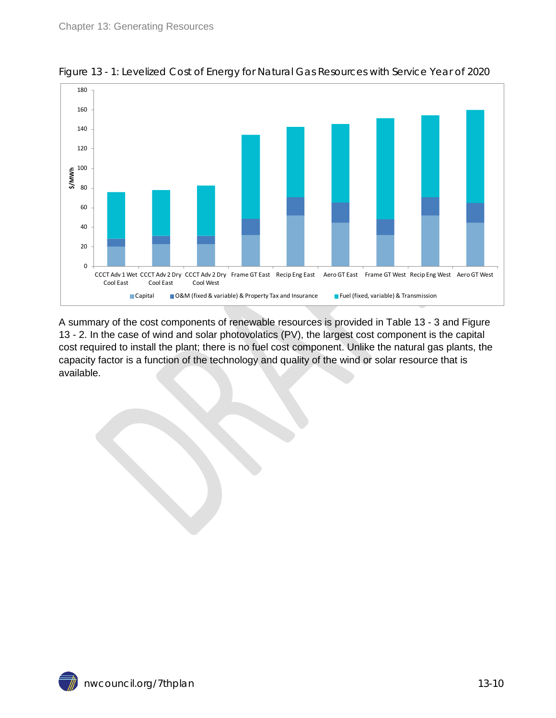

<span id="page-9-0"></span>

A summary of the cost components of renewable resources is provided in Table 13 - 3 and Figure 13 - 2. In the case of wind and solar photovolatics (PV), the largest cost component is the capital cost required to install the plant; there is no fuel cost component. Unlike the natural gas plants, the capacity factor is a function of the technology and quality of the wind or solar resource that is available.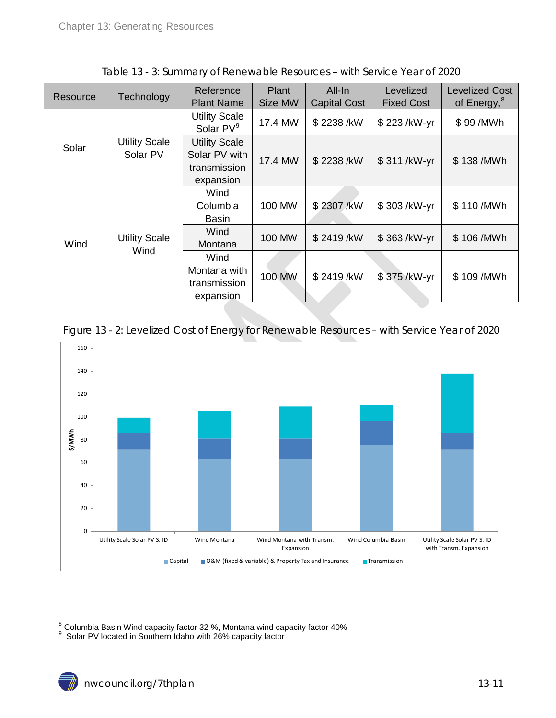<span id="page-10-0"></span>

|          |                                  | Reference                                                          | Plant   | All-In              | Levelized         | <b>Levelized Cost</b>   |
|----------|----------------------------------|--------------------------------------------------------------------|---------|---------------------|-------------------|-------------------------|
| Resource | Technology                       | <b>Plant Name</b>                                                  | Size MW | <b>Capital Cost</b> | <b>Fixed Cost</b> | of Energy, <sup>8</sup> |
|          |                                  | <b>Utility Scale</b><br>Solar PV <sup>9</sup>                      | 17.4 MW | \$2238/kW           | \$223/kW-yr       | \$99/MWh                |
| Solar    | <b>Utility Scale</b><br>Solar PV | <b>Utility Scale</b><br>Solar PV with<br>transmission<br>expansion | 17.4 MW | \$2238/kW           | \$311/kW-yr       | \$138/MWh               |
|          |                                  | Wind<br>Columbia<br><b>Basin</b>                                   | 100 MW  | \$2307/kW           | \$303/kW-yr       | \$110/MWh               |
| Wind     | <b>Utility Scale</b><br>Wind     | Wind<br>Montana                                                    | 100 MW  | \$2419/kW           | \$363/kW-yr       | \$106/MWh               |
|          |                                  | Wind                                                               |         |                     |                   |                         |
|          |                                  | Montana with<br>transmission                                       | 100 MW  | \$2419/kW           | \$375/kW-yr       | \$109/MWh               |
|          |                                  | expansion                                                          |         |                     |                   |                         |

Table 13 - 3: Summary of Renewable Resources – with Service Year of 2020

#### <span id="page-10-1"></span>Figure 13 - 2: Levelized Cost of Energy for Renewable Resources – with Service Year of 2020



 $^8$  Columbia Basin Wind capacity factor 32 %, Montana wind capacity factor 40%<br> $^9\,$  Solar PV located in Southern Idaho with 26% capacity factor

<span id="page-10-2"></span>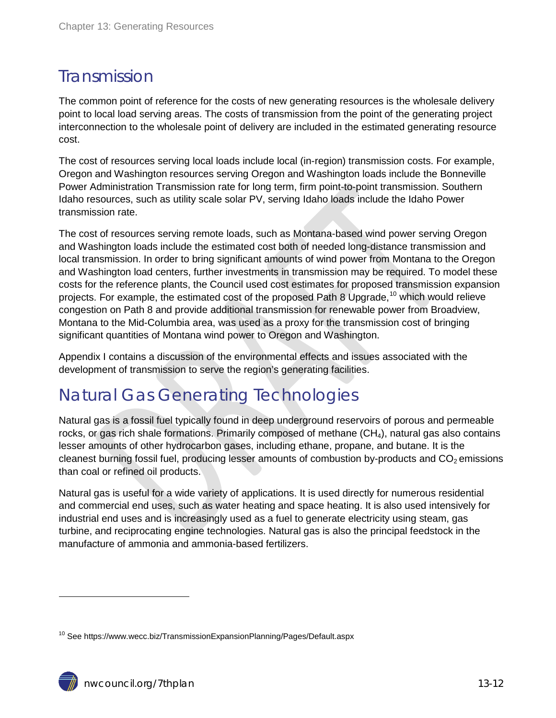## <span id="page-11-0"></span>Transmission

The common point of reference for the costs of new generating resources is the wholesale delivery point to local load serving areas. The costs of transmission from the point of the generating project interconnection to the wholesale point of delivery are included in the estimated generating resource cost.

The cost of resources serving local loads include local (in-region) transmission costs. For example, Oregon and Washington resources serving Oregon and Washington loads include the Bonneville Power Administration Transmission rate for long term, firm point-to-point transmission. Southern Idaho resources, such as utility scale solar PV, serving Idaho loads include the Idaho Power transmission rate.

The cost of resources serving remote loads, such as Montana-based wind power serving Oregon and Washington loads include the estimated cost both of needed long-distance transmission and local transmission. In order to bring significant amounts of wind power from Montana to the Oregon and Washington load centers, further investments in transmission may be required. To model these costs for the reference plants, the Council used cost estimates for proposed transmission expansion projects. For example, the estimated cost of the proposed Path 8 Upgrade,<sup>[10](#page-10-2)</sup> which would relieve congestion on Path 8 and provide additional transmission for renewable power from Broadview, Montana to the Mid-Columbia area, was used as a proxy for the transmission cost of bringing significant quantities of Montana wind power to Oregon and Washington.

Appendix I contains a discussion of the environmental effects and issues associated with the development of transmission to serve the region's generating facilities.

## <span id="page-11-1"></span>Natural Gas Generating Technologies

Natural gas is a fossil fuel typically found in deep underground reservoirs of porous and permeable rocks, or gas rich shale formations. Primarily composed of methane  $(CH_4)$ , natural gas also contains lesser amounts of other hydrocarbon gases, including ethane, propane, and butane. It is the cleanest burning fossil fuel, producing lesser amounts of combustion by-products and  $CO<sub>2</sub>$  emissions than coal or refined oil products.

Natural gas is useful for a wide variety of applications. It is used directly for numerous residential and commercial end uses, such as water heating and space heating. It is also used intensively for industrial end uses and is increasingly used as a fuel to generate electricity using steam, gas turbine, and reciprocating engine technologies. Natural gas is also the principal feedstock in the manufacture of ammonia and ammonia-based fertilizers.

<span id="page-11-2"></span><sup>&</sup>lt;sup>10</sup> See https://www.wecc.biz/TransmissionExpansionPlanning/Pages/Default.aspx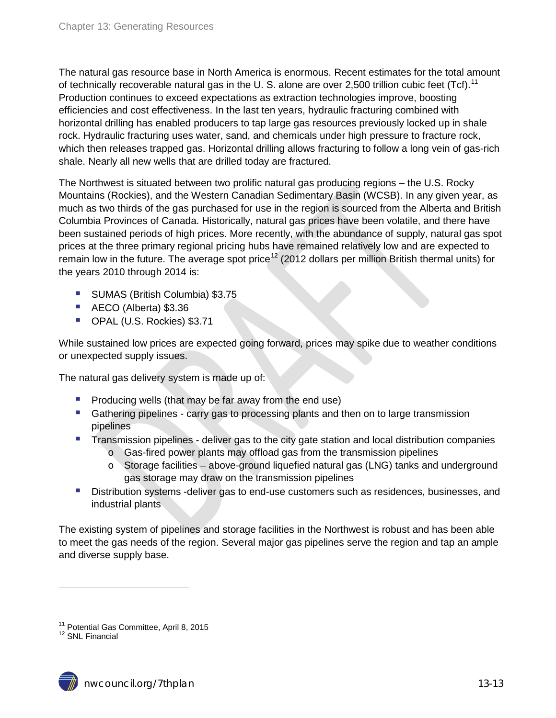The natural gas resource base in North America is enormous. Recent estimates for the total amount of technically recoverable natural gas in the U. S. alone are over 2,500 trillion cubic feet (Tcf).<sup>[11](#page-11-2)</sup> Production continues to exceed expectations as extraction technologies improve, boosting efficiencies and cost effectiveness. In the last ten years, hydraulic fracturing combined with horizontal drilling has enabled producers to tap large gas resources previously locked up in shale rock. Hydraulic fracturing uses water, sand, and chemicals under high pressure to fracture rock, which then releases trapped gas. Horizontal drilling allows fracturing to follow a long vein of gas-rich shale. Nearly all new wells that are drilled today are fractured.

The Northwest is situated between two prolific natural gas producing regions – the U.S. Rocky Mountains (Rockies), and the Western Canadian Sedimentary Basin (WCSB). In any given year, as much as two thirds of the gas purchased for use in the region is sourced from the Alberta and British Columbia Provinces of Canada. Historically, natural gas prices have been volatile, and there have been sustained periods of high prices. More recently, with the abundance of supply, natural gas spot prices at the three primary regional pricing hubs have remained relatively low and are expected to remain low in the future. The average spot price<sup>[12](#page-12-0)</sup> (2012 dollars per million British thermal units) for the years 2010 through 2014 is:

- **SUMAS (British Columbia) \$3.75**
- AECO (Alberta) \$3.36
- OPAL (U.S. Rockies) \$3.71

While sustained low prices are expected going forward, prices may spike due to weather conditions or unexpected supply issues.

The natural gas delivery system is made up of:

- $\blacksquare$  Producing wells (that may be far away from the end use)
- **Gathering pipelines carry gas to processing plants and then on to large transmission** pipelines
- **Transmission pipelines deliver gas to the city gate station and local distribution companies** 
	- $\circ$  Gas-fired power plants may offload gas from the transmission pipelines
	- o Storage facilities above-ground liquefied natural gas (LNG) tanks and underground gas storage may draw on the transmission pipelines
- **Distribution systems -deliver gas to end-use customers such as residences, businesses, and I** industrial plants

The existing system of pipelines and storage facilities in the Northwest is robust and has been able to meet the gas needs of the region. Several major gas pipelines serve the region and tap an ample and diverse supply base.



<span id="page-12-1"></span><span id="page-12-0"></span><sup>&</sup>lt;sup>11</sup> Potential Gas Committee, April 8, 2015<br><sup>12</sup> SNL Financial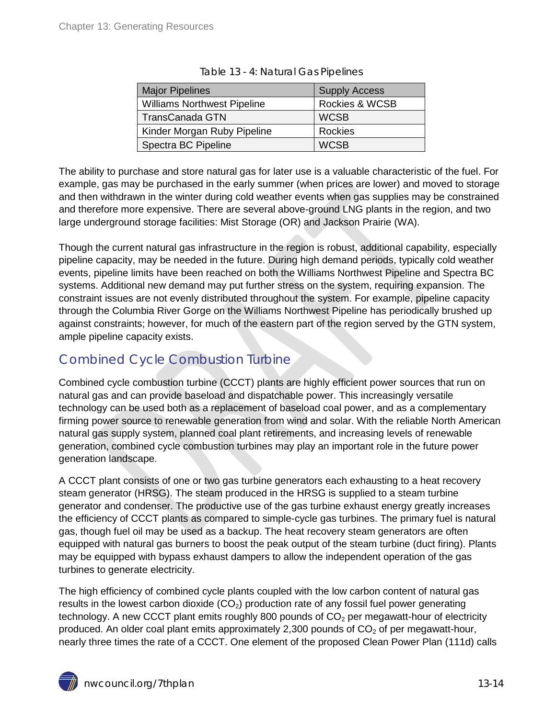<span id="page-13-1"></span>

| <b>Major Pipelines</b>             | <b>Supply Access</b> |
|------------------------------------|----------------------|
| <b>Williams Northwest Pipeline</b> | Rockies & WCSB       |
| <b>TransCanada GTN</b>             | <b>WCSB</b>          |
| Kinder Morgan Ruby Pipeline        | Rockies              |
| Spectra BC Pipeline                | <b>WCSB</b>          |

| Table 13 - 4: Natural Gas Pipelines |
|-------------------------------------|
|-------------------------------------|

The ability to purchase and store natural gas for later use is a valuable characteristic of the fuel. For example, gas may be purchased in the early summer (when prices are lower) and moved to storage and then withdrawn in the winter during cold weather events when gas supplies may be constrained and therefore more expensive. There are several above-ground LNG plants in the region, and two large underground storage facilities: Mist Storage (OR) and Jackson Prairie (WA).

Though the current natural gas infrastructure in the region is robust, additional capability, especially pipeline capacity, may be needed in the future. During high demand periods, typically cold weather events, pipeline limits have been reached on both the Williams Northwest Pipeline and Spectra BC systems. Additional new demand may put further stress on the system, requiring expansion. The constraint issues are not evenly distributed throughout the system. For example, pipeline capacity through the Columbia River Gorge on the Williams Northwest Pipeline has periodically brushed up against constraints; however, for much of the eastern part of the region served by the GTN system, ample pipeline capacity exists.

### <span id="page-13-0"></span>Combined Cycle Combustion Turbine

Combined cycle combustion turbine (CCCT) plants are highly efficient power sources that run on natural gas and can provide baseload and dispatchable power. This increasingly versatile technology can be used both as a replacement of baseload coal power, and as a complementary firming power source to renewable generation from wind and solar. With the reliable North American natural gas supply system, planned coal plant retirements, and increasing levels of renewable generation, combined cycle combustion turbines may play an important role in the future power generation landscape.

A CCCT plant consists of one or two gas turbine generators each exhausting to a heat recovery steam generator (HRSG). The steam produced in the HRSG is supplied to a steam turbine generator and condenser. The productive use of the gas turbine exhaust energy greatly increases the efficiency of CCCT plants as compared to simple-cycle gas turbines. The primary fuel is natural gas, though fuel oil may be used as a backup. The heat recovery steam generators are often equipped with natural gas burners to boost the peak output of the steam turbine (duct firing). Plants may be equipped with bypass exhaust dampers to allow the independent operation of the gas turbines to generate electricity.

The high efficiency of combined cycle plants coupled with the low carbon content of natural gas results in the lowest carbon dioxide  $(CO<sub>2</sub>)$  production rate of any fossil fuel power generating technology. A new CCCT plant emits roughly 800 pounds of  $CO<sub>2</sub>$  per megawatt-hour of electricity produced. An older coal plant emits approximately 2,300 pounds of  $CO<sub>2</sub>$  of per megawatt-hour, nearly three times the rate of a CCCT. One element of the proposed Clean Power Plan (111d) calls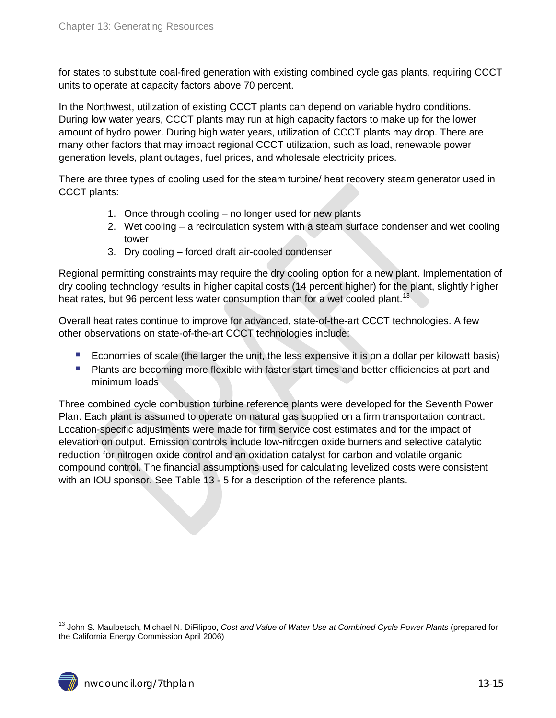for states to substitute coal-fired generation with existing combined cycle gas plants, requiring CCCT units to operate at capacity factors above 70 percent.

In the Northwest, utilization of existing CCCT plants can depend on variable hydro conditions. During low water years, CCCT plants may run at high capacity factors to make up for the lower amount of hydro power. During high water years, utilization of CCCT plants may drop. There are many other factors that may impact regional CCCT utilization, such as load, renewable power generation levels, plant outages, fuel prices, and wholesale electricity prices.

There are three types of cooling used for the steam turbine/ heat recovery steam generator used in CCCT plants:

- 1. Once through cooling no longer used for new plants
- 2. Wet cooling a recirculation system with a steam surface condenser and wet cooling tower
- 3. Dry cooling forced draft air-cooled condenser

Regional permitting constraints may require the dry cooling option for a new plant. Implementation of dry cooling technology results in higher capital costs (14 percent higher) for the plant, slightly higher heat rates, but 96 percent less water consumption than for a wet cooled plant.<sup>[13](#page-12-1)</sup>

Overall heat rates continue to improve for advanced, state-of-the-art CCCT technologies. A few other observations on state-of-the-art CCCT technologies include:

- **Example 1** Economies of scale (the larger the unit, the less expensive it is on a dollar per kilowatt basis)
- **Plants are becoming more flexible with faster start times and better efficiencies at part and** minimum loads

Three combined cycle combustion turbine reference plants were developed for the Seventh Power Plan. Each plant is assumed to operate on natural gas supplied on a firm transportation contract. Location-specific adjustments were made for firm service cost estimates and for the impact of elevation on output. Emission controls include low-nitrogen oxide burners and selective catalytic reduction for nitrogen oxide control and an oxidation catalyst for carbon and volatile organic compound control. The financial assumptions used for calculating levelized costs were consistent with an IOU sponsor. See Table 13 - 5 for a description of the reference plants.

<span id="page-14-0"></span><sup>13</sup> John S. Maulbetsch, Michael N. DiFilippo, *Cost and Value of Water Use at Combined Cycle Power Plants* (prepared for the California Energy Commission April 2006)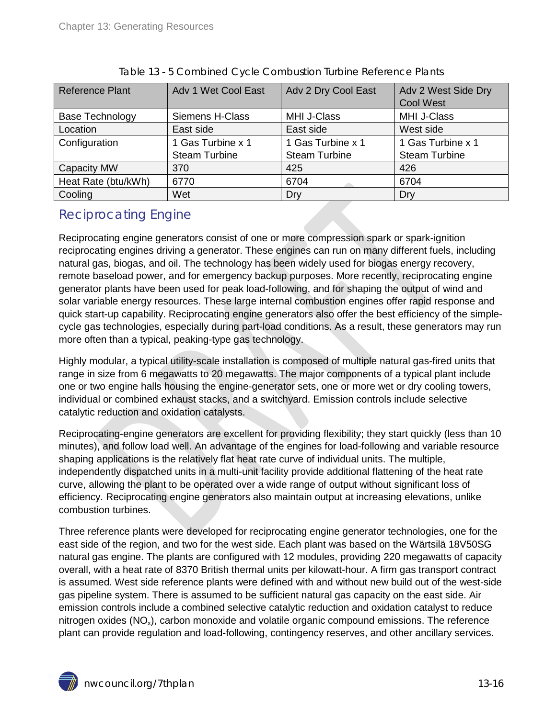<span id="page-15-1"></span>

| <b>Reference Plant</b> | Adv 1 Wet Cool East    | Adv 2 Dry Cool East  | Adv 2 West Side Dry<br><b>Cool West</b> |
|------------------------|------------------------|----------------------|-----------------------------------------|
| <b>Base Technology</b> | <b>Siemens H-Class</b> | <b>MHI J-Class</b>   | <b>MHI J-Class</b>                      |
| Location               | East side              | East side            | West side                               |
| Configuration          | 1 Gas Turbine x 1      | 1 Gas Turbine x 1    | 1 Gas Turbine x 1                       |
|                        | <b>Steam Turbine</b>   | <b>Steam Turbine</b> | <b>Steam Turbine</b>                    |
| Capacity MW            | 370                    | 425                  | 426                                     |
| Heat Rate (btu/kWh)    | 6770                   | 6704                 | 6704                                    |
| Cooling                | Wet                    | Dry                  | Dry                                     |

|  |  | Table 13 - 5 Combined Cycle Combustion Turbine Reference Plants |
|--|--|-----------------------------------------------------------------|

#### <span id="page-15-0"></span>Reciprocating Engine

Reciprocating engine generators consist of one or more compression spark or spark-ignition reciprocating engines driving a generator. These engines can run on many different fuels, including natural gas, biogas, and oil. The technology has been widely used for biogas energy recovery, remote baseload power, and for emergency backup purposes. More recently, reciprocating engine generator plants have been used for peak load-following, and for shaping the output of wind and solar variable energy resources. These large internal combustion engines offer rapid response and quick start-up capability. Reciprocating engine generators also offer the best efficiency of the simplecycle gas technologies, especially during part-load conditions. As a result, these generators may run more often than a typical, peaking-type gas technology.

Highly modular, a typical utility-scale installation is composed of multiple natural gas-fired units that range in size from 6 megawatts to 20 megawatts. The major components of a typical plant include one or two engine halls housing the engine-generator sets, one or more wet or dry cooling towers, individual or combined exhaust stacks, and a switchyard. Emission controls include selective catalytic reduction and oxidation catalysts.

Reciprocating-engine generators are excellent for providing flexibility; they start quickly (less than 10 minutes), and follow load well. An advantage of the engines for load-following and variable resource shaping applications is the relatively flat heat rate curve of individual units. The multiple, independently dispatched units in a multi-unit facility provide additional flattening of the heat rate curve, allowing the plant to be operated over a wide range of output without significant loss of efficiency. Reciprocating engine generators also maintain output at increasing elevations, unlike combustion turbines.

Three reference plants were developed for reciprocating engine generator technologies, one for the east side of the region, and two for the west side. Each plant was based on the Wärtsilä 18V50SG natural gas engine. The plants are configured with 12 modules, providing 220 megawatts of capacity overall, with a heat rate of 8370 British thermal units per kilowatt-hour. A firm gas transport contract is assumed. West side reference plants were defined with and without new build out of the west-side gas pipeline system. There is assumed to be sufficient natural gas capacity on the east side. Air emission controls include a combined selective catalytic reduction and oxidation catalyst to reduce nitrogen oxides  $(NO_x)$ , carbon monoxide and volatile organic compound emissions. The reference plant can provide regulation and load-following, contingency reserves, and other ancillary services.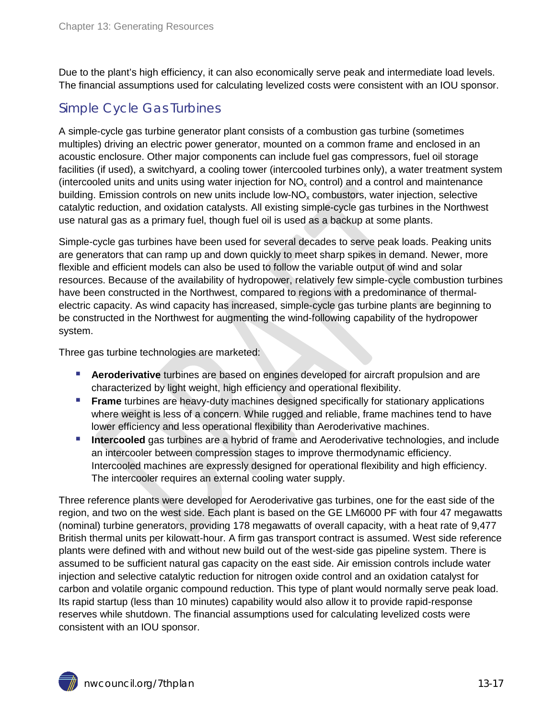Due to the plant's high efficiency, it can also economically serve peak and intermediate load levels. The financial assumptions used for calculating levelized costs were consistent with an IOU sponsor.

## <span id="page-16-0"></span>Simple Cycle Gas Turbines

A simple-cycle gas turbine generator plant consists of a combustion gas turbine (sometimes multiples) driving an electric power generator, mounted on a common frame and enclosed in an acoustic enclosure. Other major components can include fuel gas compressors, fuel oil storage facilities (if used), a switchyard, a cooling tower (intercooled turbines only), a water treatment system (intercooled units and units using water injection for  $NO<sub>x</sub>$  control) and a control and maintenance building. Emission controls on new units include low- $NO<sub>x</sub>$  combustors, water injection, selective catalytic reduction, and oxidation catalysts. All existing simple-cycle gas turbines in the Northwest use natural gas as a primary fuel, though fuel oil is used as a backup at some plants.

Simple-cycle gas turbines have been used for several decades to serve peak loads. Peaking units are generators that can ramp up and down quickly to meet sharp spikes in demand. Newer, more flexible and efficient models can also be used to follow the variable output of wind and solar resources. Because of the availability of hydropower, relatively few simple-cycle combustion turbines have been constructed in the Northwest, compared to regions with a predominance of thermalelectric capacity. As wind capacity has increased, simple-cycle gas turbine plants are beginning to be constructed in the Northwest for augmenting the wind-following capability of the hydropower system.

Three gas turbine technologies are marketed:

- **Aeroderivative** turbines are based on engines developed for aircraft propulsion and are characterized by light weight, high efficiency and operational flexibility.
- **Frame** turbines are heavy-duty machines designed specifically for stationary applications where weight is less of a concern. While rugged and reliable, frame machines tend to have lower efficiency and less operational flexibility than Aeroderivative machines.
- **Intercooled** gas turbines are a hybrid of frame and Aeroderivative technologies, and include an intercooler between compression stages to improve thermodynamic efficiency. Intercooled machines are expressly designed for operational flexibility and high efficiency. The intercooler requires an external cooling water supply.

Three reference plants were developed for Aeroderivative gas turbines, one for the east side of the region, and two on the west side. Each plant is based on the GE LM6000 PF with four 47 megawatts (nominal) turbine generators, providing 178 megawatts of overall capacity, with a heat rate of 9,477 British thermal units per kilowatt-hour. A firm gas transport contract is assumed. West side reference plants were defined with and without new build out of the west-side gas pipeline system. There is assumed to be sufficient natural gas capacity on the east side. Air emission controls include water injection and selective catalytic reduction for nitrogen oxide control and an oxidation catalyst for carbon and volatile organic compound reduction. This type of plant would normally serve peak load. Its rapid startup (less than 10 minutes) capability would also allow it to provide rapid-response reserves while shutdown. The financial assumptions used for calculating levelized costs were consistent with an IOU sponsor.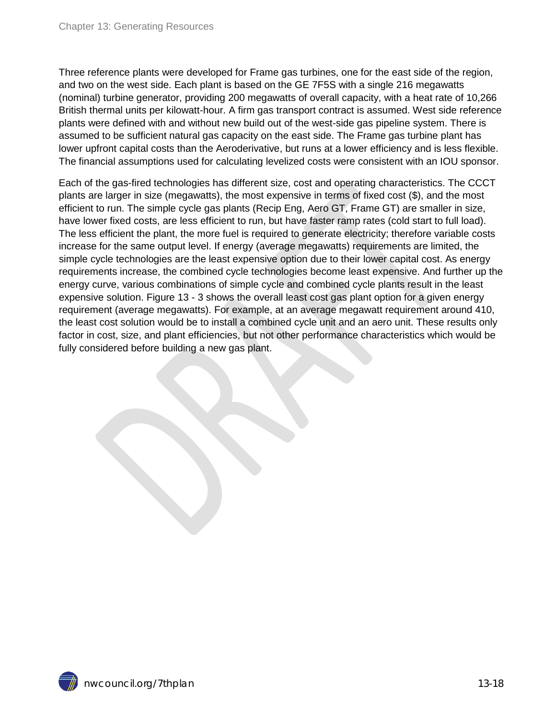Three reference plants were developed for Frame gas turbines, one for the east side of the region, and two on the west side. Each plant is based on the GE 7F5S with a single 216 megawatts (nominal) turbine generator, providing 200 megawatts of overall capacity, with a heat rate of 10,266 British thermal units per kilowatt-hour. A firm gas transport contract is assumed. West side reference plants were defined with and without new build out of the west-side gas pipeline system. There is assumed to be sufficient natural gas capacity on the east side. The Frame gas turbine plant has lower upfront capital costs than the Aeroderivative, but runs at a lower efficiency and is less flexible. The financial assumptions used for calculating levelized costs were consistent with an IOU sponsor.

Each of the gas-fired technologies has different size, cost and operating characteristics. The CCCT plants are larger in size (megawatts), the most expensive in terms of fixed cost (\$), and the most efficient to run. The simple cycle gas plants (Recip Eng, Aero GT, Frame GT) are smaller in size, have lower fixed costs, are less efficient to run, but have faster ramp rates (cold start to full load). The less efficient the plant, the more fuel is required to generate electricity; therefore variable costs increase for the same output level. If energy (average megawatts) requirements are limited, the simple cycle technologies are the least expensive option due to their lower capital cost. As energy requirements increase, the combined cycle technologies become least expensive. And further up the energy curve, various combinations of simple cycle and combined cycle plants result in the least expensive solution. Figure 13 - 3 shows the overall least cost gas plant option for a given energy requirement (average megawatts). For example, at an average megawatt requirement around 410, the least cost solution would be to install a combined cycle unit and an aero unit. These results only factor in cost, size, and plant efficiencies, but not other performance characteristics which would be fully considered before building a new gas plant.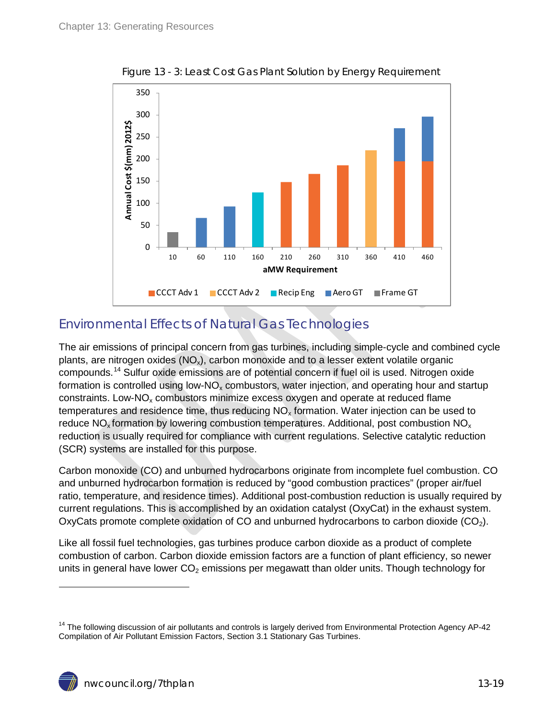<span id="page-18-1"></span>

Figure 13 - 3: Least Cost Gas Plant Solution by Energy Requirement

## <span id="page-18-0"></span>Environmental Effects of Natural Gas Technologies

The air emissions of principal concern from gas turbines, including simple-cycle and combined cycle plants, are nitrogen oxides  $(NO_x)$ , carbon monoxide and to a lesser extent volatile organic compounds. [14](#page-14-0) Sulfur oxide emissions are of potential concern if fuel oil is used. Nitrogen oxide formation is controlled using low- $NO<sub>x</sub>$  combustors, water injection, and operating hour and startup constraints. Low- $N_{\rm Qx}$  combustors minimize excess oxygen and operate at reduced flame temperatures and residence time, thus reducing  $NO<sub>x</sub>$  formation. Water injection can be used to reduce  $NO_x$  formation by lowering combustion temperatures. Additional, post combustion  $NO_x$ reduction is usually required for compliance with current regulations. Selective catalytic reduction (SCR) systems are installed for this purpose.

Carbon monoxide (CO) and unburned hydrocarbons originate from incomplete fuel combustion. CO and unburned hydrocarbon formation is reduced by "good combustion practices" (proper air/fuel ratio, temperature, and residence times). Additional post-combustion reduction is usually required by current regulations. This is accomplished by an oxidation catalyst (OxyCat) in the exhaust system. OxyCats promote complete oxidation of CO and unburned hydrocarbons to carbon dioxide  $(CO<sub>2</sub>)$ .

Like all fossil fuel technologies, gas turbines produce carbon dioxide as a product of complete combustion of carbon. Carbon dioxide emission factors are a function of plant efficiency, so newer units in general have lower  $CO<sub>2</sub>$  emissions per megawatt than older units. Though technology for

<span id="page-18-2"></span><sup>&</sup>lt;sup>14</sup> The following discussion of air pollutants and controls is largely derived from Environmental Protection Agency AP-42 Compilation of Air Pollutant Emission Factors, Section 3.1 Stationary Gas Turbines.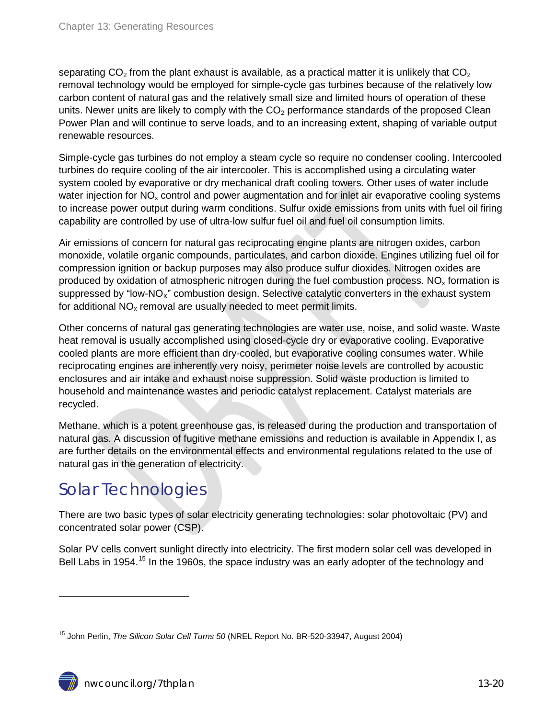separating CO<sub>2</sub> from the plant exhaust is available, as a practical matter it is unlikely that CO<sub>2</sub> removal technology would be employed for simple-cycle gas turbines because of the relatively low carbon content of natural gas and the relatively small size and limited hours of operation of these units. Newer units are likely to comply with the  $CO<sub>2</sub>$  performance standards of the proposed Clean Power Plan and will continue to serve loads, and to an increasing extent, shaping of variable output renewable resources.

Simple-cycle gas turbines do not employ a steam cycle so require no condenser cooling. Intercooled turbines do require cooling of the air intercooler. This is accomplished using a circulating water system cooled by evaporative or dry mechanical draft cooling towers. Other uses of water include water injection for  $NO<sub>x</sub>$  control and power augmentation and for inlet air evaporative cooling systems to increase power output during warm conditions. Sulfur oxide emissions from units with fuel oil firing capability are controlled by use of ultra-low sulfur fuel oil and fuel oil consumption limits.

Air emissions of concern for natural gas reciprocating engine plants are nitrogen oxides, carbon monoxide, volatile organic compounds, particulates, and carbon dioxide. Engines utilizing fuel oil for compression ignition or backup purposes may also produce sulfur dioxides. Nitrogen oxides are produced by oxidation of atmospheric nitrogen during the fuel combustion process.  $NO<sub>x</sub>$  formation is suppressed by "low-NO<sub>x</sub>" combustion design. Selective catalytic converters in the exhaust system for additional  $NO<sub>x</sub>$  removal are usually needed to meet permit limits.

Other concerns of natural gas generating technologies are water use, noise, and solid waste. Waste heat removal is usually accomplished using closed-cycle dry or evaporative cooling. Evaporative cooled plants are more efficient than dry-cooled, but evaporative cooling consumes water. While reciprocating engines are inherently very noisy, perimeter noise levels are controlled by acoustic enclosures and air intake and exhaust noise suppression. Solid waste production is limited to household and maintenance wastes and periodic catalyst replacement. Catalyst materials are recycled.

Methane, which is a potent greenhouse gas, is released during the production and transportation of natural gas. A discussion of fugitive methane emissions and reduction is available in Appendix I, as are further details on the environmental effects and environmental regulations related to the use of natural gas in the generation of electricity.

# <span id="page-19-0"></span>Solar Technologies

There are two basic types of solar electricity generating technologies: solar photovoltaic (PV) and concentrated solar power (CSP).

Solar PV cells convert sunlight directly into electricity. The first modern solar cell was developed in Bell Labs in 1954.<sup>[15](#page-18-2)</sup> In the 1960s, the space industry was an early adopter of the technology and

<span id="page-19-1"></span><sup>15</sup> John Perlin, *The Silicon Solar Cell Turns 50* (NREL Report No. BR-520-33947, August 2004)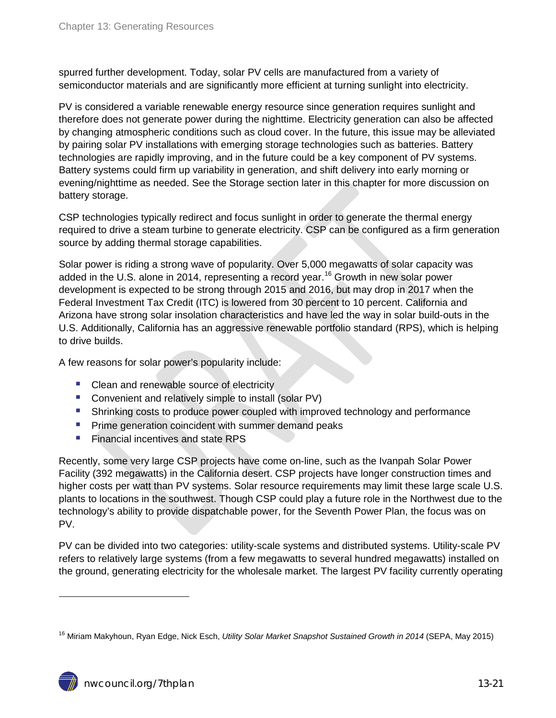spurred further development. Today, solar PV cells are manufactured from a variety of semiconductor materials and are significantly more efficient at turning sunlight into electricity.

PV is considered a variable renewable energy resource since generation requires sunlight and therefore does not generate power during the nighttime. Electricity generation can also be affected by changing atmospheric conditions such as cloud cover. In the future, this issue may be alleviated by pairing solar PV installations with emerging storage technologies such as batteries. Battery technologies are rapidly improving, and in the future could be a key component of PV systems. Battery systems could firm up variability in generation, and shift delivery into early morning or evening/nighttime as needed. See the Storage section later in this chapter for more discussion on battery storage.

CSP technologies typically redirect and focus sunlight in order to generate the thermal energy required to drive a steam turbine to generate electricity. CSP can be configured as a firm generation source by adding thermal storage capabilities.

Solar power is riding a strong wave of popularity. Over 5,000 megawatts of solar capacity was added in the U.S. alone in 2014, representing a record year. [16](#page-19-1) Growth in new solar power development is expected to be strong through 2015 and 2016, but may drop in 2017 when the Federal Investment Tax Credit (ITC) is lowered from 30 percent to 10 percent. California and Arizona have strong solar insolation characteristics and have led the way in solar build-outs in the U.S. Additionally, California has an aggressive renewable portfolio standard (RPS), which is helping to drive builds.

A few reasons for solar power's popularity include:

- Clean and renewable source of electricity
- **Convenient and relatively simple to install (solar PV)**
- **Shrinking costs to produce power coupled with improved technology and performance**
- **Prime generation coincident with summer demand peaks**
- **Financial incentives and state RPS**

Recently, some very large CSP projects have come on-line, such as the Ivanpah Solar Power Facility (392 megawatts) in the California desert. CSP projects have longer construction times and higher costs per watt than PV systems. Solar resource requirements may limit these large scale U.S. plants to locations in the southwest. Though CSP could play a future role in the Northwest due to the technology's ability to provide dispatchable power, for the Seventh Power Plan, the focus was on PV.

PV can be divided into two categories: utility-scale systems and distributed systems. Utility-scale PV refers to relatively large systems (from a few megawatts to several hundred megawatts) installed on the ground, generating electricity for the wholesale market. The largest PV facility currently operating

<span id="page-20-0"></span><sup>&</sup>lt;sup>16</sup> Miriam Makyhoun, Ryan Edge, Nick Esch, *Utility Solar Market Snapshot Sustained Growth in 2014* (SEPA, May 2015)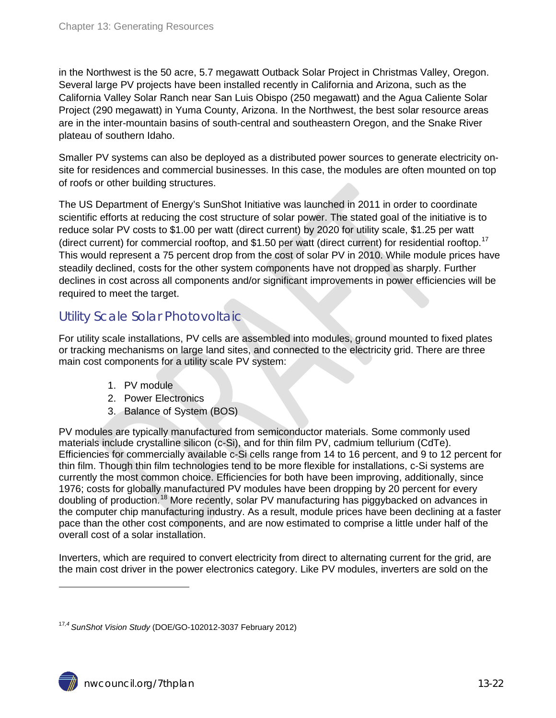in the Northwest is the 50 acre, 5.7 megawatt Outback Solar Project in Christmas Valley, Oregon. Several large PV projects have been installed recently in California and Arizona, such as the California Valley Solar Ranch near San Luis Obispo (250 megawatt) and the Agua Caliente Solar Project (290 megawatt) in Yuma County, Arizona. In the Northwest, the best solar resource areas are in the inter-mountain basins of south-central and southeastern Oregon, and the Snake River plateau of southern Idaho.

Smaller PV systems can also be deployed as a distributed power sources to generate electricity onsite for residences and commercial businesses. In this case, the modules are often mounted on top of roofs or other building structures.

The US Department of Energy's SunShot Initiative was launched in 2011 in order to coordinate scientific efforts at reducing the cost structure of solar power. The stated goal of the initiative is to reduce solar PV costs to \$1.00 per watt (direct current) by 2020 for utility scale, \$1.25 per watt (direct current) for commercial rooftop, and \$1.50 per watt (direct current) for residential rooftop.<sup>[17](#page-20-0)</sup> This would represent a 75 percent drop from the cost of solar PV in 2010. While module prices have steadily declined, costs for the other system components have not dropped as sharply. Further declines in cost across all components and/or significant improvements in power efficiencies will be required to meet the target.

#### <span id="page-21-0"></span>Utility Scale Solar Photovoltaic

For utility scale installations, PV cells are assembled into modules, ground mounted to fixed plates or tracking mechanisms on large land sites, and connected to the electricity grid. There are three main cost components for a utility scale PV system:

- 1. PV module
- 2. Power Electronics
- 3. Balance of System (BOS)

PV modules are typically manufactured from semiconductor materials. Some commonly used materials include crystalline silicon (c-Si), and for thin film PV, cadmium tellurium (CdTe). Efficiencies for commercially available c-Si cells range from 14 to 16 percent, and 9 to 12 percent for thin film. Though thin film technologies tend to be more flexible for installations, c-Si systems are currently the most common choice. Efficiencies for both have been improving, additionally, since 1976; costs for globally manufactured PV modules have been dropping by 20 percent for every doubling of production.<sup>[18](#page-21-1)</sup> More recently, solar PV manufacturing has piggybacked on advances in the computer chip manufacturing industry. As a result, module prices have been declining at a faster pace than the other cost components, and are now estimated to comprise a little under half of the overall cost of a solar installation.

Inverters, which are required to convert electricity from direct to alternating current for the grid, are the main cost driver in the power electronics category. Like PV modules, inverters are sold on the

<span id="page-21-2"></span><span id="page-21-1"></span><sup>17</sup>*,4 SunShot Vision Study* (DOE/GO-102012-3037 February 2012)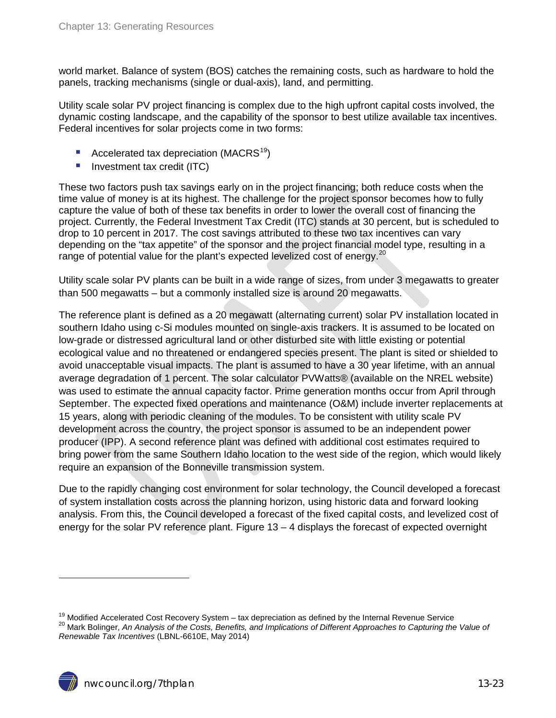world market. Balance of system (BOS) catches the remaining costs, such as hardware to hold the panels, tracking mechanisms (single or dual-axis), land, and permitting.

Utility scale solar PV project financing is complex due to the high upfront capital costs involved, the dynamic costing landscape, and the capability of the sponsor to best utilize available tax incentives. Federal incentives for solar projects come in two forms:

- Accelerated tax depreciation (MACRS<sup>[19](#page-21-2)</sup>)
- **Investment tax credit (ITC)**

These two factors push tax savings early on in the project financing; both reduce costs when the time value of money is at its highest. The challenge for the project sponsor becomes how to fully capture the value of both of these tax benefits in order to lower the overall cost of financing the project. Currently, the Federal Investment Tax Credit (ITC) stands at 30 percent, but is scheduled to drop to 10 percent in 2017. The cost savings attributed to these two tax incentives can vary depending on the "tax appetite" of the sponsor and the project financial model type, resulting in a range of potential value for the plant's expected levelized cost of energy.<sup>[20](#page-22-0)</sup>

Utility scale solar PV plants can be built in a wide range of sizes, from under 3 megawatts to greater than 500 megawatts – but a commonly installed size is around 20 megawatts.

The reference plant is defined as a 20 megawatt (alternating current) solar PV installation located in southern Idaho using c-Si modules mounted on single-axis trackers. It is assumed to be located on low-grade or distressed agricultural land or other disturbed site with little existing or potential ecological value and no threatened or endangered species present. The plant is sited or shielded to avoid unacceptable visual impacts. The plant is assumed to have a 30 year lifetime, with an annual average degradation of 1 percent. The solar calculator PVWatts® (available on the NREL website) was used to estimate the annual capacity factor. Prime generation months occur from April through September. The expected fixed operations and maintenance (O&M) include inverter replacements at 15 years, along with periodic cleaning of the modules. To be consistent with utility scale PV development across the country, the project sponsor is assumed to be an independent power producer (IPP). A second reference plant was defined with additional cost estimates required to bring power from the same Southern Idaho location to the west side of the region, which would likely require an expansion of the Bonneville transmission system.

Due to the rapidly changing cost environment for solar technology, the Council developed a forecast of system installation costs across the planning horizon, using historic data and forward looking analysis. From this, the Council developed a forecast of the fixed capital costs, and levelized cost of energy for the solar PV reference plant. Figure  $13 - 4$  displays the forecast of expected overnight

<span id="page-22-0"></span><sup>&</sup>lt;sup>19</sup> Modified Accelerated Cost Recovery System – tax depreciation as defined by the Internal Revenue Service<br><sup>20</sup> Mark Bolinger, *An Analysis of the Costs, Benefits, and Implications of Different Approaches to Capturing th Renewable Tax Incentives* (LBNL-6610E, May 2014)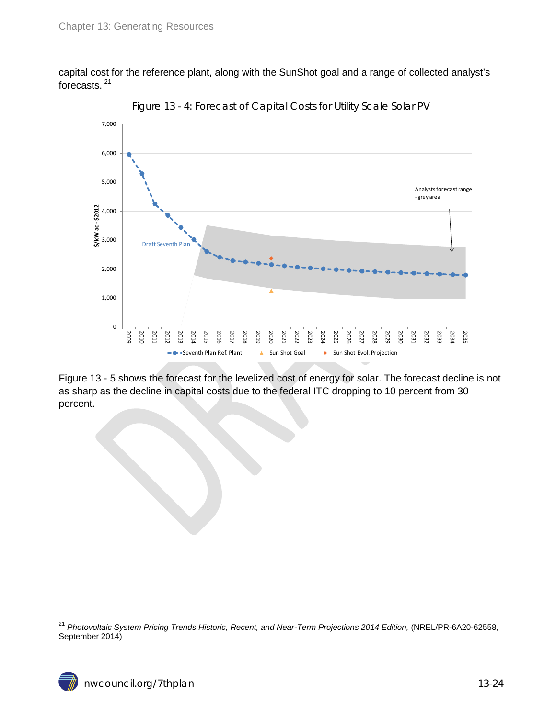capital cost for the reference plant, along with the SunShot goal and a range of collected analyst's forecasts. [21](#page-22-0)

<span id="page-23-0"></span>



Figure 13 - 5 shows the forecast for the levelized cost of energy for solar. The forecast decline is not as sharp as the decline in capital costs due to the federal ITC dropping to 10 percent from 30 percent.

<span id="page-23-1"></span><sup>21</sup> *Photovoltaic System Pricing Trends Historic, Recent, and Near-Term Projections 2014 Edition,* (NREL/PR-6A20-62558, September 2014)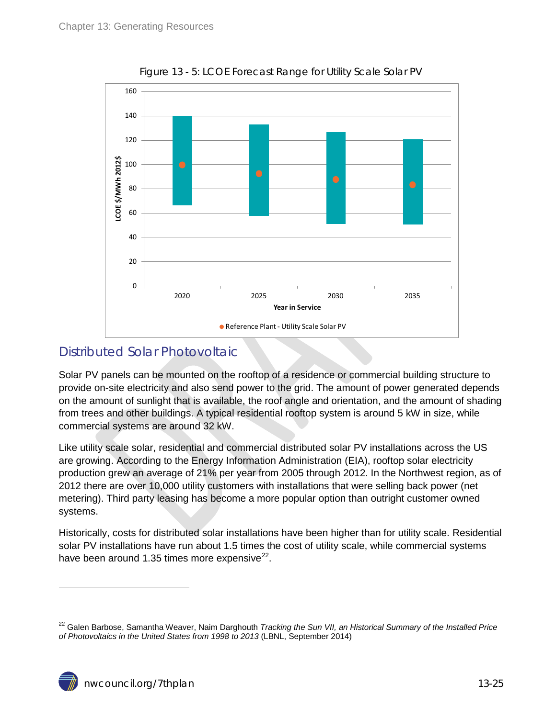<span id="page-24-1"></span>

Figure 13 - 5: LCOE Forecast Range for Utility Scale Solar PV

### <span id="page-24-0"></span>Distributed Solar Photovoltaic

Solar PV panels can be mounted on the rooftop of a residence or commercial building structure to provide on-site electricity and also send power to the grid. The amount of power generated depends on the amount of sunlight that is available, the roof angle and orientation, and the amount of shading from trees and other buildings. A typical residential rooftop system is around 5 kW in size, while commercial systems are around 32 kW.

Like utility scale solar, residential and commercial distributed solar PV installations across the US are growing. According to the Energy Information Administration (EIA), rooftop solar electricity production grew an average of 21% per year from 2005 through 2012. In the Northwest region, as of 2012 there are over 10,000 utility customers with installations that were selling back power (net metering). Third party leasing has become a more popular option than outright customer owned systems.

Historically, costs for distributed solar installations have been higher than for utility scale. Residential solar PV installations have run about 1.5 times the cost of utility scale, while commercial systems have been around 1.35 times more expensive $^{22}$  $^{22}$  $^{22}$ .

<span id="page-24-2"></span><sup>22</sup> Galen Barbose, Samantha Weaver, Naim Darghouth *Tracking the Sun VII, an Historical Summary of the Installed Price of Photovoltaics in the United States from 1998 to 2013* (LBNL, September 2014)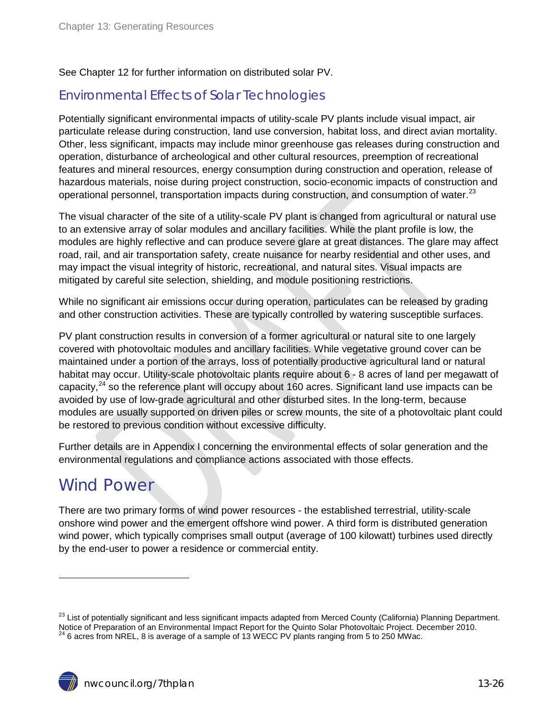See Chapter 12 for further information on distributed solar PV.

### <span id="page-25-0"></span>Environmental Effects of Solar Technologies

Potentially significant environmental impacts of utility-scale PV plants include visual impact, air particulate release during construction, land use conversion, habitat loss, and direct avian mortality. Other, less significant, impacts may include minor greenhouse gas releases during construction and operation, disturbance of archeological and other cultural resources, preemption of recreational features and mineral resources, energy consumption during construction and operation, release of hazardous materials, noise during project construction, socio-economic impacts of construction and operational personnel, transportation impacts during construction, and consumption of water.<sup>[23](#page-24-2)</sup>

The visual character of the site of a utility-scale PV plant is changed from agricultural or natural use to an extensive array of solar modules and ancillary facilities. While the plant profile is low, the modules are highly reflective and can produce severe glare at great distances. The glare may affect road, rail, and air transportation safety, create nuisance for nearby residential and other uses, and may impact the visual integrity of historic, recreational, and natural sites. Visual impacts are mitigated by careful site selection, shielding, and module positioning restrictions.

While no significant air emissions occur during operation, particulates can be released by grading and other construction activities. These are typically controlled by watering susceptible surfaces.

PV plant construction results in conversion of a former agricultural or natural site to one largely covered with photovoltaic modules and ancillary facilities. While vegetative ground cover can be maintained under a portion of the arrays, loss of potentially productive agricultural land or natural habitat may occur. Utility-scale photovoltaic plants require about 6 - 8 acres of land per megawatt of capacity,<sup>[24](#page-25-2)</sup> so the reference plant will occupy about 160 acres. Significant land use impacts can be avoided by use of low-grade agricultural and other disturbed sites. In the long-term, because modules are usually supported on driven piles or screw mounts, the site of a photovoltaic plant could be restored to previous condition without excessive difficulty.

Further details are in Appendix I concerning the environmental effects of solar generation and the environmental regulations and compliance actions associated with those effects.

## <span id="page-25-1"></span>Wind Power

<span id="page-25-3"></span> $\overline{a}$ 

There are two primary forms of wind power resources - the established terrestrial, utility-scale onshore wind power and the emergent offshore wind power. A third form is distributed generation wind power, which typically comprises small output (average of 100 kilowatt) turbines used directly by the end-user to power a residence or commercial entity.

<span id="page-25-2"></span><sup>&</sup>lt;sup>23</sup> List of potentially significant and less significant impacts adapted from Merced County (California) Planning Department. Notice of Preparation of an Environmental Impact Report for the Quinto Solar Photovoltaic Project. December 2010.  $^{24}$  6 acres from NREL, 8 is average of a sample of 13 WECC PV plants ranging from 5 to 250 MWac.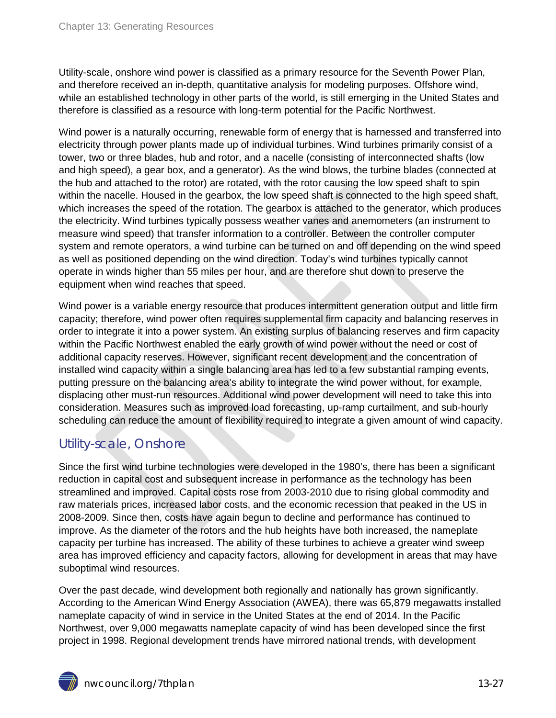Utility-scale, onshore wind power is classified as a primary resource for the Seventh Power Plan, and therefore received an in-depth, quantitative analysis for modeling purposes. Offshore wind, while an established technology in other parts of the world, is still emerging in the United States and therefore is classified as a resource with long-term potential for the Pacific Northwest.

Wind power is a naturally occurring, renewable form of energy that is harnessed and transferred into electricity through power plants made up of individual turbines. Wind turbines primarily consist of a tower, two or three blades, hub and rotor, and a nacelle (consisting of interconnected shafts (low and high speed), a gear box, and a generator). As the wind blows, the turbine blades (connected at the hub and attached to the rotor) are rotated, with the rotor causing the low speed shaft to spin within the nacelle. Housed in the gearbox, the low speed shaft is connected to the high speed shaft, which increases the speed of the rotation. The gearbox is attached to the generator, which produces the electricity. Wind turbines typically possess weather vanes and anemometers (an instrument to measure wind speed) that transfer information to a controller. Between the controller computer system and remote operators, a wind turbine can be turned on and off depending on the wind speed as well as positioned depending on the wind direction. Today's wind turbines typically cannot operate in winds higher than 55 miles per hour, and are therefore shut down to preserve the equipment when wind reaches that speed.

Wind power is a variable energy resource that produces intermittent generation output and little firm capacity; therefore, wind power often requires supplemental firm capacity and balancing reserves in order to integrate it into a power system. An existing surplus of balancing reserves and firm capacity within the Pacific Northwest enabled the early growth of wind power without the need or cost of additional capacity reserves. However, significant recent development and the concentration of installed wind capacity within a single balancing area has led to a few substantial ramping events, putting pressure on the balancing area's ability to integrate the wind power without, for example, displacing other must-run resources. Additional wind power development will need to take this into consideration. Measures such as improved load forecasting, up-ramp curtailment, and sub-hourly scheduling can reduce the amount of flexibility required to integrate a given amount of wind capacity.

## <span id="page-26-0"></span>Utility-scale, Onshore

Since the first wind turbine technologies were developed in the 1980's, there has been a significant reduction in capital cost and subsequent increase in performance as the technology has been streamlined and improved. Capital costs rose from 2003-2010 due to rising global commodity and raw materials prices, increased labor costs, and the economic recession that peaked in the US in 2008-2009. Since then, costs have again begun to decline and performance has continued to improve. As the diameter of the rotors and the hub heights have both increased, the nameplate capacity per turbine has increased. The ability of these turbines to achieve a greater wind sweep area has improved efficiency and capacity factors, allowing for development in areas that may have suboptimal wind resources.

Over the past decade, wind development both regionally and nationally has grown significantly. According to the American Wind Energy Association (AWEA), there was 65,879 megawatts installed nameplate capacity of wind in service in the United States at the end of 2014. In the Pacific Northwest, over 9,000 megawatts nameplate capacity of wind has been developed since the first project in 1998. Regional development trends have mirrored national trends, with development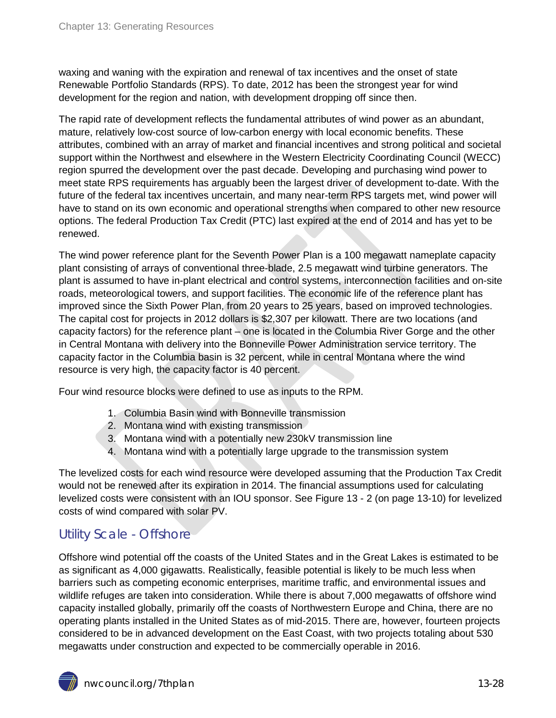waxing and waning with the expiration and renewal of tax incentives and the onset of state Renewable Portfolio Standards (RPS). To date, 2012 has been the strongest year for wind development for the region and nation, with development dropping off since then.

The rapid rate of development reflects the fundamental attributes of wind power as an abundant, mature, relatively low-cost source of low-carbon energy with local economic benefits. These attributes, combined with an array of market and financial incentives and strong political and societal support within the Northwest and elsewhere in the Western Electricity Coordinating Council (WECC) region spurred the development over the past decade. Developing and purchasing wind power to meet state RPS requirements has arguably been the largest driver of development to-date. With the future of the federal tax incentives uncertain, and many near-term RPS targets met, wind power will have to stand on its own economic and operational strengths when compared to other new resource options. The federal Production Tax Credit (PTC) last expired at the end of 2014 and has yet to be renewed.

The wind power reference plant for the Seventh Power Plan is a 100 megawatt nameplate capacity plant consisting of arrays of conventional three-blade, 2.5 megawatt wind turbine generators. The plant is assumed to have in-plant electrical and control systems, interconnection facilities and on-site roads, meteorological towers, and support facilities. The economic life of the reference plant has improved since the Sixth Power Plan, from 20 years to 25 years, based on improved technologies. The capital cost for projects in 2012 dollars is \$2,307 per kilowatt. There are two locations (and capacity factors) for the reference plant – one is located in the Columbia River Gorge and the other in Central Montana with delivery into the Bonneville Power Administration service territory. The capacity factor in the Columbia basin is 32 percent, while in central Montana where the wind resource is very high, the capacity factor is 40 percent.

Four wind resource blocks were defined to use as inputs to the RPM.

- 1. Columbia Basin wind with Bonneville transmission
- 2. Montana wind with existing transmission
- 3. Montana wind with a potentially new 230kV transmission line
- 4. Montana wind with a potentially large upgrade to the transmission system

The levelized costs for each wind resource were developed assuming that the Production Tax Credit would not be renewed after its expiration in 2014. The financial assumptions used for calculating levelized costs were consistent with an IOU sponsor. See Figure 13 - 2 (on page 13-10) for levelized costs of wind compared with solar PV.

## <span id="page-27-0"></span>Utility Scale - Offshore

Offshore wind potential off the coasts of the United States and in the Great Lakes is estimated to be as significant as 4,000 gigawatts. Realistically, feasible potential is likely to be much less when barriers such as competing economic enterprises, maritime traffic, and environmental issues and wildlife refuges are taken into consideration. While there is about 7,000 megawatts of offshore wind capacity installed globally, primarily off the coasts of Northwestern Europe and China, there are no operating plants installed in the United States as of mid-2015. There are, however, fourteen projects considered to be in advanced development on the East Coast, with two projects totaling about 530 megawatts under construction and expected to be commercially operable in 2016.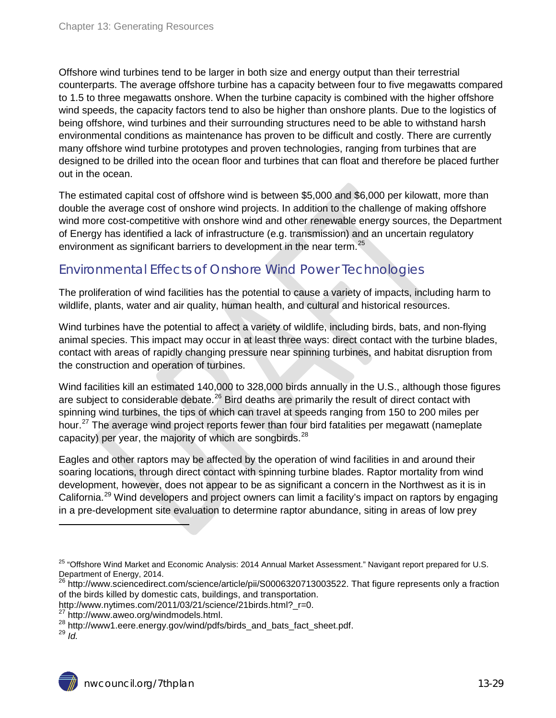Offshore wind turbines tend to be larger in both size and energy output than their terrestrial counterparts. The average offshore turbine has a capacity between four to five megawatts compared to 1.5 to three megawatts onshore. When the turbine capacity is combined with the higher offshore wind speeds, the capacity factors tend to also be higher than onshore plants. Due to the logistics of being offshore, wind turbines and their surrounding structures need to be able to withstand harsh environmental conditions as maintenance has proven to be difficult and costly. There are currently many offshore wind turbine prototypes and proven technologies, ranging from turbines that are designed to be drilled into the ocean floor and turbines that can float and therefore be placed further out in the ocean.

The estimated capital cost of offshore wind is between \$5,000 and \$6,000 per kilowatt, more than double the average cost of onshore wind projects. In addition to the challenge of making offshore wind more cost-competitive with onshore wind and other renewable energy sources, the Department of Energy has identified a lack of infrastructure (e.g. transmission) and an uncertain regulatory environment as significant barriers to development in the near term.<sup>[25](#page-25-3)</sup>

## <span id="page-28-0"></span>Environmental Effects of Onshore Wind Power Technologies

The proliferation of wind facilities has the potential to cause a variety of impacts, including harm to wildlife, plants, water and air quality, human health, and cultural and historical resources.

Wind turbines have the potential to affect a variety of wildlife, including birds, bats, and non-flying animal species. This impact may occur in at least three ways: direct contact with the turbine blades, contact with areas of rapidly changing pressure near spinning turbines, and habitat disruption from the construction and operation of turbines.

Wind facilities kill an estimated 140,000 to 328,000 birds annually in the U.S., although those figures are subject to considerable debate.<sup>[26](#page-28-1)</sup> Bird deaths are primarily the result of direct contact with spinning wind turbines, the tips of which can travel at speeds ranging from 150 to 200 miles per hour.<sup>[27](#page-28-2)</sup> The average wind project reports fewer than four bird fatalities per megawatt (nameplate capacity) per year, the majority of which are songbirds. $^{28}$  $^{28}$  $^{28}$ 

Eagles and other raptors may be affected by the operation of wind facilities in and around their soaring locations, through direct contact with spinning turbine blades. Raptor mortality from wind development, however, does not appear to be as significant a concern in the Northwest as it is in California.<sup>[29](#page-28-4)</sup> Wind developers and project owners can limit a facility's impact on raptors by engaging in a pre-development site evaluation to determine raptor abundance, siting in areas of low prey

<sup>&</sup>lt;sup>25</sup> "Offshore Wind Market and Economic Analysis: 2014 Annual Market Assessment." Navigant report prepared for U.S. Department of Energy, 2014.

<span id="page-28-1"></span><sup>&</sup>lt;sup>26</sup> http://www.sciencedirect.com/science/article/pii/S0006320713003522. That figure represents only a fraction of the birds killed by domestic cats, buildings, and transportation.

<span id="page-28-3"></span>

<span id="page-28-2"></span>http://www.nytimes.com/2011/03/21/science/21birds.html?\_r=0.<br><sup>27</sup> http://www.aweo.org/windmodels.html.<br><sup>28</sup> http://www1.eere.energy.gov/wind/pdfs/birds\_and\_bats\_fact\_sheet.pdf.<br><sup>29 *Id*</sup>

<span id="page-28-4"></span>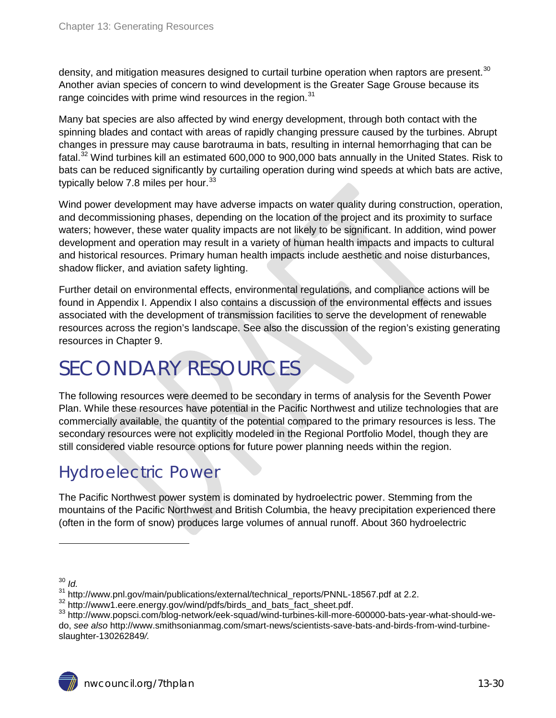density, and mitigation measures designed to curtail turbine operation when raptors are present.<sup>[30](#page-28-1)</sup> Another avian species of concern to wind development is the Greater Sage Grouse because its range coincides with prime wind resources in the region.<sup>[31](#page-29-2)</sup>

Many bat species are also affected by wind energy development, through both contact with the spinning blades and contact with areas of rapidly changing pressure caused by the turbines. Abrupt changes in pressure may cause barotrauma in bats, resulting in internal hemorrhaging that can be fatal.<sup>[32](#page-29-3)</sup> Wind turbines kill an estimated 600,000 to 900,000 bats annually in the United States. Risk to bats can be reduced significantly by curtailing operation during wind speeds at which bats are active, typically below 7.8 miles per hour.  $33$ 

Wind power development may have adverse impacts on water quality during construction, operation, and decommissioning phases, depending on the location of the project and its proximity to surface waters; however, these water quality impacts are not likely to be significant. In addition, wind power development and operation may result in a variety of human health impacts and impacts to cultural and historical resources. Primary human health impacts include aesthetic and noise disturbances, shadow flicker, and aviation safety lighting.

Further detail on environmental effects, environmental regulations, and compliance actions will be found in Appendix I. Appendix I also contains a discussion of the environmental effects and issues associated with the development of transmission facilities to serve the development of renewable resources across the region's landscape. See also the discussion of the region's existing generating resources in Chapter 9.

# <span id="page-29-0"></span>SECONDARY RESOURCES

The following resources were deemed to be secondary in terms of analysis for the Seventh Power Plan. While these resources have potential in the Pacific Northwest and utilize technologies that are commercially available, the quantity of the potential compared to the primary resources is less. The secondary resources were not explicitly modeled in the Regional Portfolio Model, though they are still considered viable resource options for future power planning needs within the region.

# <span id="page-29-1"></span>Hydroelectric Power

The Pacific Northwest power system is dominated by hydroelectric power. Stemming from the mountains of the Pacific Northwest and British Columbia, the heavy precipitation experienced there (often in the form of snow) produces large volumes of annual runoff. About 360 hydroelectric

<sup>30</sup> *Id.*

<span id="page-29-5"></span><span id="page-29-4"></span><span id="page-29-3"></span>

<span id="page-29-2"></span> $^{31}$  http://www.pnl.gov/main/publications/external/technical\_reports/PNNL-18567.pdf at 2.2.<br> $^{32}$  http://www1.eere.energy.gov/wind/pdfs/birds\_and\_bats\_fact\_sheet.pdf.<br> $^{32}$  http://www.popsci.com/blog-network/eek-squad do, *see also* http://www.smithsonianmag.com/smart-news/scientists-save-bats-and-birds-from-wind-turbineslaughter-130262849*/.*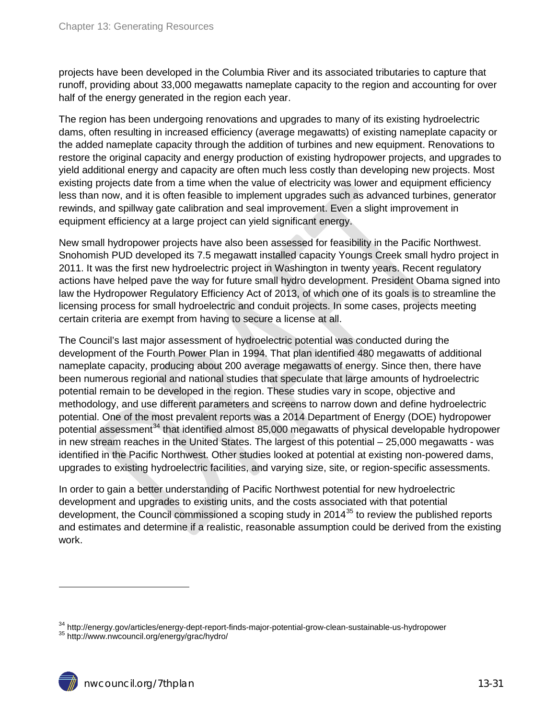projects have been developed in the Columbia River and its associated tributaries to capture that runoff, providing about 33,000 megawatts nameplate capacity to the region and accounting for over half of the energy generated in the region each year.

The region has been undergoing renovations and upgrades to many of its existing hydroelectric dams, often resulting in increased efficiency (average megawatts) of existing nameplate capacity or the added nameplate capacity through the addition of turbines and new equipment. Renovations to restore the original capacity and energy production of existing hydropower projects, and upgrades to yield additional energy and capacity are often much less costly than developing new projects. Most existing projects date from a time when the value of electricity was lower and equipment efficiency less than now, and it is often feasible to implement upgrades such as advanced turbines, generator rewinds, and spillway gate calibration and seal improvement. Even a slight improvement in equipment efficiency at a large project can yield significant energy.

New small hydropower projects have also been assessed for feasibility in the Pacific Northwest. Snohomish PUD developed its 7.5 megawatt installed capacity Youngs Creek small hydro project in 2011. It was the first new hydroelectric project in Washington in twenty years. Recent regulatory actions have helped pave the way for future small hydro development. President Obama signed into law the Hydropower Regulatory Efficiency Act of 2013, of which one of its goals is to streamline the licensing process for small hydroelectric and conduit projects. In some cases, projects meeting certain criteria are exempt from having to secure a license at all.

The Council's last major assessment of hydroelectric potential was conducted during the development of the Fourth Power Plan in 1994. That plan identified 480 megawatts of additional nameplate capacity, producing about 200 average megawatts of energy. Since then, there have been numerous regional and national studies that speculate that large amounts of hydroelectric potential remain to be developed in the region. These studies vary in scope, objective and methodology, and use different parameters and screens to narrow down and define hydroelectric potential. One of the most prevalent reports was a 2014 Department of Energy (DOE) hydropower potential assessment<sup>[34](#page-29-5)</sup> that identified almost 85,000 megawatts of physical developable hydropower in new stream reaches in the United States. The largest of this potential – 25,000 megawatts - was identified in the Pacific Northwest. Other studies looked at potential at existing non-powered dams, upgrades to existing hydroelectric facilities, and varying size, site, or region-specific assessments.

In order to gain a better understanding of Pacific Northwest potential for new hydroelectric development and upgrades to existing units, and the costs associated with that potential development, the Council commissioned a scoping study in 2014<sup>[35](#page-30-0)</sup> to review the published reports and estimates and determine if a realistic, reasonable assumption could be derived from the existing work.

<span id="page-30-1"></span><span id="page-30-0"></span> $34$  http://energy.gov/articles/energy-dept-report-finds-major-potential-grow-clean-sustainable-us-hydropower  $35$  http://www.nwcouncil.org/energy/grac/hydro/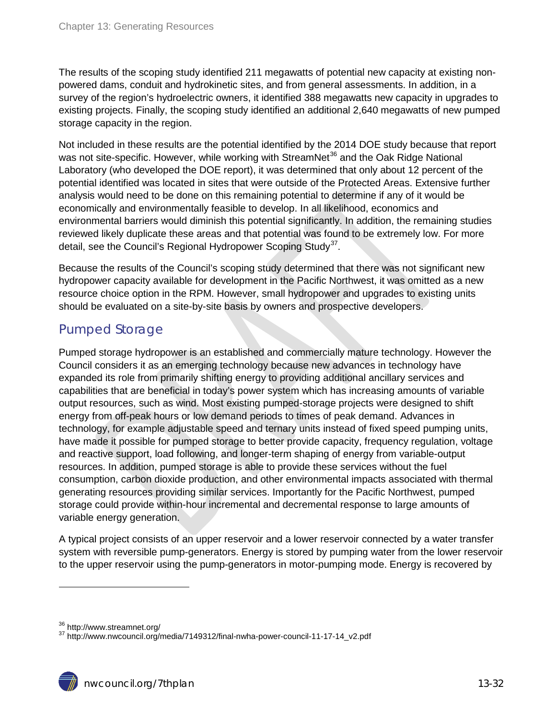The results of the scoping study identified 211 megawatts of potential new capacity at existing nonpowered dams, conduit and hydrokinetic sites, and from general assessments. In addition, in a survey of the region's hydroelectric owners, it identified 388 megawatts new capacity in upgrades to existing projects. Finally, the scoping study identified an additional 2,640 megawatts of new pumped storage capacity in the region.

Not included in these results are the potential identified by the 2014 DOE study because that report was not site-specific. However, while working with StreamNet<sup>[36](#page-30-1)</sup> and the Oak Ridge National Laboratory (who developed the DOE report), it was determined that only about 12 percent of the potential identified was located in sites that were outside of the Protected Areas. Extensive further analysis would need to be done on this remaining potential to determine if any of it would be economically and environmentally feasible to develop. In all likelihood, economics and environmental barriers would diminish this potential significantly. In addition, the remaining studies reviewed likely duplicate these areas and that potential was found to be extremely low. For more detail, see the Council's Regional Hydropower Scoping Study<sup>[37](#page-31-1)</sup>.

Because the results of the Council's scoping study determined that there was not significant new hydropower capacity available for development in the Pacific Northwest, it was omitted as a new resource choice option in the RPM. However, small hydropower and upgrades to existing units should be evaluated on a site-by-site basis by owners and prospective developers.

### <span id="page-31-0"></span>Pumped Storage

Pumped storage hydropower is an established and commercially mature technology. However the Council considers it as an emerging technology because new advances in technology have expanded its role from primarily shifting energy to providing additional ancillary services and capabilities that are beneficial in today's power system which has increasing amounts of variable output resources, such as wind. Most existing pumped-storage projects were designed to shift energy from off-peak hours or low demand periods to times of peak demand. Advances in technology, for example adjustable speed and ternary units instead of fixed speed pumping units, have made it possible for pumped storage to better provide capacity, frequency regulation, voltage and reactive support, load following, and longer-term shaping of energy from variable-output resources. In addition, pumped storage is able to provide these services without the fuel consumption, carbon dioxide production, and other environmental impacts associated with thermal generating resources providing similar services. Importantly for the Pacific Northwest, pumped storage could provide within-hour incremental and decremental response to large amounts of variable energy generation.

A typical project consists of an upper reservoir and a lower reservoir connected by a water transfer system with reversible pump-generators. Energy is stored by pumping water from the lower reservoir to the upper reservoir using the pump-generators in motor-pumping mode. Energy is recovered by

<span id="page-31-1"></span> $36$  http://www.streamnet.org/<br> $37$  http://www.nwcouncil.org/media/7149312/final-nwha-power-council-11-17-14\_v2.pdf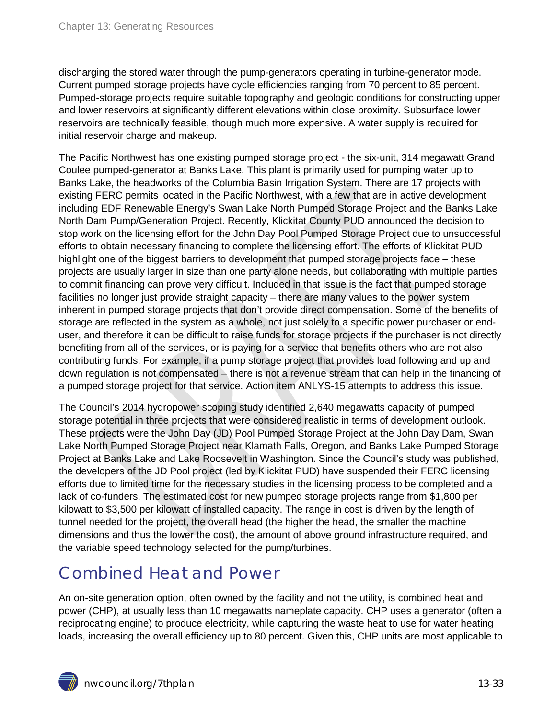discharging the stored water through the pump-generators operating in turbine-generator mode. Current pumped storage projects have cycle efficiencies ranging from 70 percent to 85 percent. Pumped-storage projects require suitable topography and geologic conditions for constructing upper and lower reservoirs at significantly different elevations within close proximity. Subsurface lower reservoirs are technically feasible, though much more expensive. A water supply is required for initial reservoir charge and makeup.

The Pacific Northwest has one existing pumped storage project - the six-unit, 314 megawatt Grand Coulee pumped-generator at Banks Lake. This plant is primarily used for pumping water up to Banks Lake, the headworks of the Columbia Basin Irrigation System. There are 17 projects with existing FERC permits located in the Pacific Northwest, with a few that are in active development including EDF Renewable Energy's Swan Lake North Pumped Storage Project and the Banks Lake North Dam Pump/Generation Project. Recently, Klickitat County PUD announced the decision to stop work on the licensing effort for the John Day Pool Pumped Storage Project due to unsuccessful efforts to obtain necessary financing to complete the licensing effort. The efforts of Klickitat PUD highlight one of the biggest barriers to development that pumped storage projects face – these projects are usually larger in size than one party alone needs, but collaborating with multiple parties to commit financing can prove very difficult. Included in that issue is the fact that pumped storage facilities no longer just provide straight capacity – there are many values to the power system inherent in pumped storage projects that don't provide direct compensation. Some of the benefits of storage are reflected in the system as a whole, not just solely to a specific power purchaser or enduser, and therefore it can be difficult to raise funds for storage projects if the purchaser is not directly benefiting from all of the services, or is paying for a service that benefits others who are not also contributing funds. For example, if a pump storage project that provides load following and up and down regulation is not compensated – there is not a revenue stream that can help in the financing of a pumped storage project for that service. Action item ANLYS-15 attempts to address this issue.

The Council's 2014 hydropower scoping study identified 2,640 megawatts capacity of pumped storage potential in three projects that were considered realistic in terms of development outlook. These projects were the John Day (JD) Pool Pumped Storage Project at the John Day Dam, Swan Lake North Pumped Storage Project near Klamath Falls, Oregon, and Banks Lake Pumped Storage Project at Banks Lake and Lake Roosevelt in Washington. Since the Council's study was published, the developers of the JD Pool project (led by Klickitat PUD) have suspended their FERC licensing efforts due to limited time for the necessary studies in the licensing process to be completed and a lack of co-funders. The estimated cost for new pumped storage projects range from \$1,800 per kilowatt to \$3,500 per kilowatt of installed capacity. The range in cost is driven by the length of tunnel needed for the project, the overall head (the higher the head, the smaller the machine dimensions and thus the lower the cost), the amount of above ground infrastructure required, and the variable speed technology selected for the pump/turbines.

## <span id="page-32-0"></span>Combined Heat and Power

An on-site generation option, often owned by the facility and not the utility, is combined heat and power (CHP), at usually less than 10 megawatts nameplate capacity. CHP uses a generator (often a reciprocating engine) to produce electricity, while capturing the waste heat to use for water heating loads, increasing the overall efficiency up to 80 percent. Given this, CHP units are most applicable to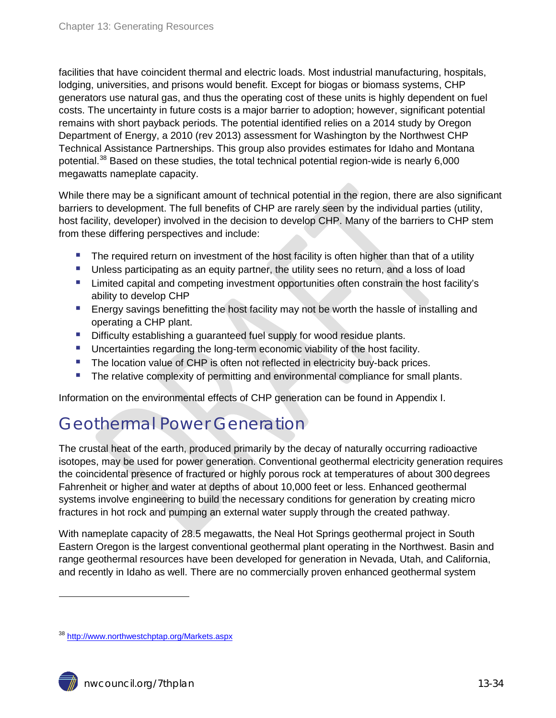facilities that have coincident thermal and electric loads. Most industrial manufacturing, hospitals, lodging, universities, and prisons would benefit. Except for biogas or biomass systems, CHP generators use natural gas, and thus the operating cost of these units is highly dependent on fuel costs. The uncertainty in future costs is a major barrier to adoption; however, significant potential remains with short payback periods. The potential identified relies on a 2014 study by Oregon Department of Energy, a 2010 (rev 2013) assessment for Washington by the Northwest CHP Technical Assistance Partnerships. This group also provides estimates for Idaho and Montana potential.<sup>[38](#page-31-1)</sup> Based on these studies, the total technical potential region-wide is nearly 6,000 megawatts nameplate capacity.

While there may be a significant amount of technical potential in the region, there are also significant barriers to development. The full benefits of CHP are rarely seen by the individual parties (utility, host facility, developer) involved in the decision to develop CHP. Many of the barriers to CHP stem from these differing perspectives and include:

- **The required return on investment of the host facility is often higher than that of a utility**
- **Unless participating as an equity partner, the utility sees no return, and a loss of load**
- **EXT** Limited capital and competing investment opportunities often constrain the host facility's ability to develop CHP
- **Energy savings benefitting the host facility may not be worth the hassle of installing and** operating a CHP plant.
- Difficulty establishing a guaranteed fuel supply for wood residue plants.
- **Uncertainties regarding the long-term economic viability of the host facility.**
- The location value of CHP is often not reflected in electricity buy-back prices.
- **The relative complexity of permitting and environmental compliance for small plants.**

Information on the environmental effects of CHP generation can be found in Appendix I.

# <span id="page-33-0"></span>Geothermal Power Generation

The crustal heat of the earth, produced primarily by the decay of naturally occurring radioactive isotopes, may be used for power generation. Conventional geothermal electricity generation requires the coincidental presence of fractured or highly porous rock at temperatures of about 300 degrees Fahrenheit or higher and water at depths of about 10,000 feet or less. Enhanced geothermal systems involve engineering to build the necessary conditions for generation by creating micro fractures in hot rock and pumping an external water supply through the created pathway.

With nameplate capacity of 28.5 megawatts, the Neal Hot Springs geothermal project in South Eastern Oregon is the largest conventional geothermal plant operating in the Northwest. Basin and range geothermal resources have been developed for generation in Nevada, Utah, and California, and recently in Idaho as well. There are no commercially proven enhanced geothermal system

<span id="page-33-1"></span><sup>&</sup>lt;sup>38</sup> <http://www.northwestchptap.org/Markets.aspx>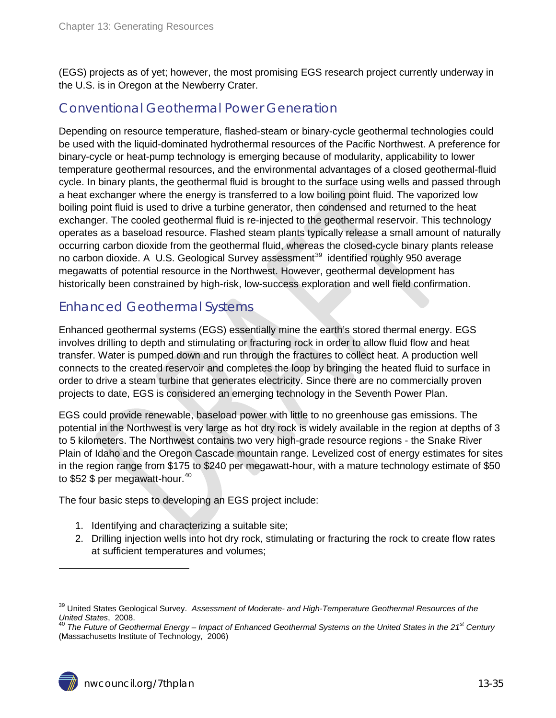(EGS) projects as of yet; however, the most promising EGS research project currently underway in the U.S. is in Oregon at the Newberry Crater.

## <span id="page-34-0"></span>Conventional Geothermal Power Generation

Depending on resource temperature, flashed-steam or binary-cycle geothermal technologies could be used with the liquid-dominated hydrothermal resources of the Pacific Northwest. A preference for binary-cycle or heat-pump technology is emerging because of modularity, applicability to lower temperature geothermal resources, and the environmental advantages of a closed geothermal-fluid cycle. In binary plants, the geothermal fluid is brought to the surface using wells and passed through a heat exchanger where the energy is transferred to a low boiling point fluid. The vaporized low boiling point fluid is used to drive a turbine generator, then condensed and returned to the heat exchanger. The cooled geothermal fluid is re-injected to the geothermal reservoir. This technology operates as a baseload resource. Flashed steam plants typically release a small amount of naturally occurring carbon dioxide from the geothermal fluid, whereas the closed-cycle binary plants release no carbon dioxide. A U.S. Geological Survey assessment<sup>[39](#page-33-1)</sup> identified roughly 950 average megawatts of potential resource in the Northwest. However, geothermal development has historically been constrained by high-risk, low-success exploration and well field confirmation.

### <span id="page-34-1"></span>Enhanced Geothermal Systems

Enhanced geothermal systems (EGS) essentially mine the earth's stored thermal energy. EGS involves drilling to depth and stimulating or fracturing rock in order to allow fluid flow and heat transfer. Water is pumped down and run through the fractures to collect heat. A production well connects to the created reservoir and completes the loop by bringing the heated fluid to surface in order to drive a steam turbine that generates electricity. Since there are no commercially proven projects to date, EGS is considered an emerging technology in the Seventh Power Plan.

EGS could provide renewable, baseload power with little to no greenhouse gas emissions. The potential in the Northwest is very large as hot dry rock is widely available in the region at depths of 3 to 5 kilometers. The Northwest contains two very high-grade resource regions - the Snake River Plain of Idaho and the Oregon Cascade mountain range. Levelized cost of energy estimates for sites in the region range from \$175 to \$240 per megawatt-hour, with a mature technology estimate of \$50 to \$52 \$ per megawatt-hour.<sup>[40](#page-34-2)</sup>

The four basic steps to developing an EGS project include:

- 1. Identifying and characterizing a suitable site;
- 2. Drilling injection wells into hot dry rock, stimulating or fracturing the rock to create flow rates at sufficient temperatures and volumes;

<sup>&</sup>lt;sup>39</sup> United States Geological Survey. *Assessment of Moderate- and High-Temperature Geothermal Resources of the United States, 2008.*<br>
<sup>40</sup> The Future of Casthermal Fusure *Lineary March of Future of Casthermal States of t* 

<span id="page-34-2"></span>*United States*, 2008. <sup>40</sup> *The Future of Geothermal Energy – Impact of Enhanced Geothermal Systems on the United States in the 21st Century* (Massachusetts Institute of Technology, 2006)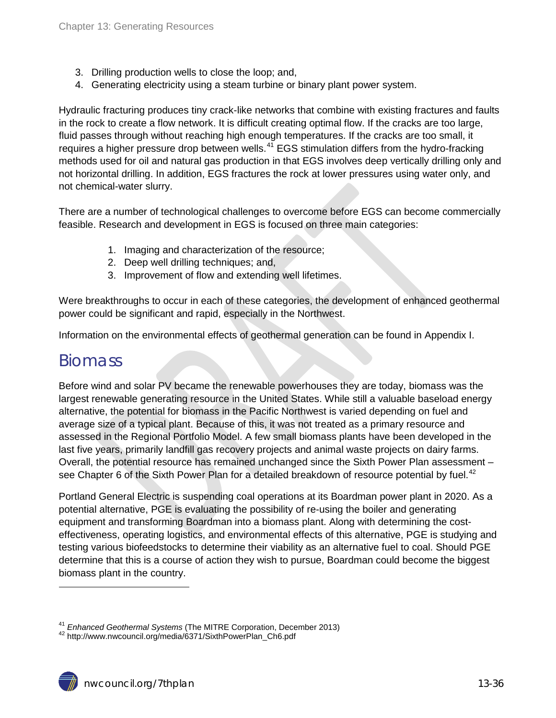- 3. Drilling production wells to close the loop; and,
- 4. Generating electricity using a steam turbine or binary plant power system.

Hydraulic fracturing produces tiny crack-like networks that combine with existing fractures and faults in the rock to create a flow network. It is difficult creating optimal flow. If the cracks are too large, fluid passes through without reaching high enough temperatures. If the cracks are too small, it requires a higher pressure drop between wells.<sup>[41](#page-34-2)</sup> EGS stimulation differs from the hydro-fracking methods used for oil and natural gas production in that EGS involves deep vertically drilling only and not horizontal drilling. In addition, EGS fractures the rock at lower pressures using water only, and not chemical-water slurry.

There are a number of technological challenges to overcome before EGS can become commercially feasible. Research and development in EGS is focused on three main categories:

- 1. Imaging and characterization of the resource;
- 2. Deep well drilling techniques; and,
- 3. Improvement of flow and extending well lifetimes.

Were breakthroughs to occur in each of these categories, the development of enhanced geothermal power could be significant and rapid, especially in the Northwest.

Information on the environmental effects of geothermal generation can be found in Appendix I.

## <span id="page-35-0"></span>**Biomass**

 $\overline{a}$ 

Before wind and solar PV became the renewable powerhouses they are today, biomass was the largest renewable generating resource in the United States. While still a valuable baseload energy alternative, the potential for biomass in the Pacific Northwest is varied depending on fuel and average size of a typical plant. Because of this, it was not treated as a primary resource and assessed in the Regional Portfolio Model. A few small biomass plants have been developed in the last five years, primarily landfill gas recovery projects and animal waste projects on dairy farms. Overall, the potential resource has remained unchanged since the Sixth Power Plan assessment – see Chapter 6 of the Sixth Power Plan for a detailed breakdown of resource potential by fuel.<sup>[42](#page-35-1)</sup>

Portland General Electric is suspending coal operations at its Boardman power plant in 2020. As a potential alternative, PGE is evaluating the possibility of re-using the boiler and generating equipment and transforming Boardman into a biomass plant. Along with determining the costeffectiveness, operating logistics, and environmental effects of this alternative, PGE is studying and testing various biofeedstocks to determine their viability as an alternative fuel to coal. Should PGE determine that this is a course of action they wish to pursue, Boardman could become the biggest biomass plant in the country.

<span id="page-35-1"></span><sup>41</sup> *Enhanced Geothermal Systems* (The MITRE Corporation, December 2013) <sup>42</sup> http://www.nwcouncil.org/media/6371/SixthPowerPlan\_Ch6.pdf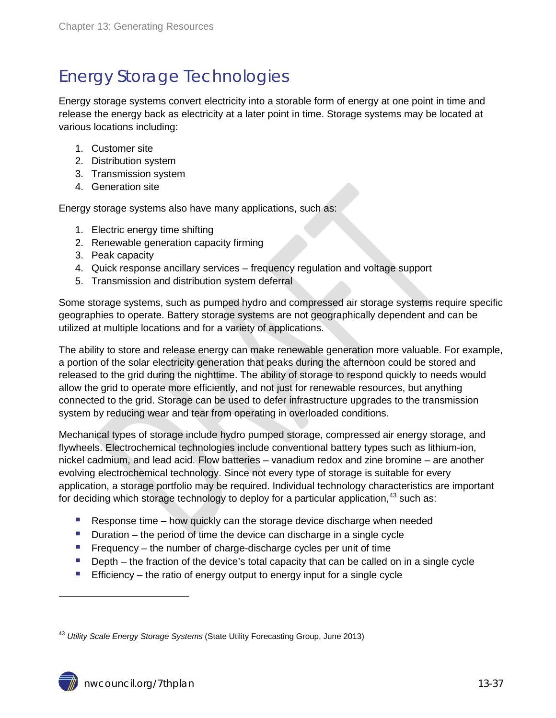# <span id="page-36-0"></span>Energy Storage Technologies

Energy storage systems convert electricity into a storable form of energy at one point in time and release the energy back as electricity at a later point in time. Storage systems may be located at various locations including:

- 1. Customer site
- 2. Distribution system
- 3. Transmission system
- 4. Generation site

Energy storage systems also have many applications, such as:

- 1. Electric energy time shifting
- 2. Renewable generation capacity firming
- 3. Peak capacity
- 4. Quick response ancillary services frequency regulation and voltage support
- 5. Transmission and distribution system deferral

Some storage systems, such as pumped hydro and compressed air storage systems require specific geographies to operate. Battery storage systems are not geographically dependent and can be utilized at multiple locations and for a variety of applications.

The ability to store and release energy can make renewable generation more valuable. For example, a portion of the solar electricity generation that peaks during the afternoon could be stored and released to the grid during the nighttime. The ability of storage to respond quickly to needs would allow the grid to operate more efficiently, and not just for renewable resources, but anything connected to the grid. Storage can be used to defer infrastructure upgrades to the transmission system by reducing wear and tear from operating in overloaded conditions.

Mechanical types of storage include hydro pumped storage, compressed air energy storage, and flywheels. Electrochemical technologies include conventional battery types such as lithium-ion, nickel cadmium, and lead acid. Flow batteries – vanadium redox and zine bromine – are another evolving electrochemical technology. Since not every type of storage is suitable for every application, a storage portfolio may be required. Individual technology characteristics are important for deciding which storage technology to deploy for a particular application,<sup>[43](#page-35-1)</sup> such as:

- Response time  $-$  how quickly can the storage device discharge when needed
- Duration the period of time the device can discharge in a single cycle
- Frequency the number of charge-discharge cycles per unit of time
- **Depth** the fraction of the device's total capacity that can be called on in a single cycle
- **Efficiency** the ratio of energy output to energy input for a single cycle

<span id="page-36-1"></span><sup>43</sup> *Utility Scale Energy Storage Systems* (State Utility Forecasting Group, June 2013)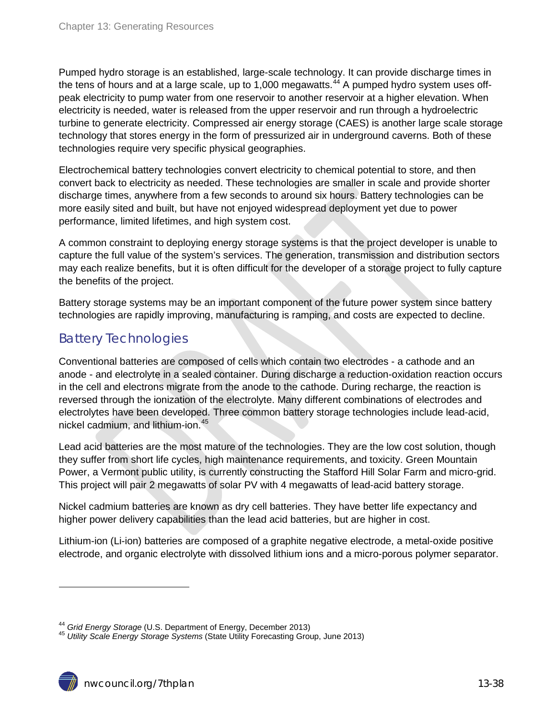Pumped hydro storage is an established, large-scale technology. It can provide discharge times in the tens of hours and at a large scale, up to 1,000 megawatts.<sup>[44](#page-36-1)</sup> A pumped hydro system uses offpeak electricity to pump water from one reservoir to another reservoir at a higher elevation. When electricity is needed, water is released from the upper reservoir and run through a hydroelectric turbine to generate electricity. Compressed air energy storage (CAES) is another large scale storage technology that stores energy in the form of pressurized air in underground caverns. Both of these technologies require very specific physical geographies.

Electrochemical battery technologies convert electricity to chemical potential to store, and then convert back to electricity as needed. These technologies are smaller in scale and provide shorter discharge times, anywhere from a few seconds to around six hours. Battery technologies can be more easily sited and built, but have not enjoyed widespread deployment yet due to power performance, limited lifetimes, and high system cost.

A common constraint to deploying energy storage systems is that the project developer is unable to capture the full value of the system's services. The generation, transmission and distribution sectors may each realize benefits, but it is often difficult for the developer of a storage project to fully capture the benefits of the project.

Battery storage systems may be an important component of the future power system since battery technologies are rapidly improving, manufacturing is ramping, and costs are expected to decline.

### <span id="page-37-0"></span>Battery Technologies

Conventional batteries are composed of cells which contain two electrodes - a cathode and an anode - and electrolyte in a sealed container. During discharge a reduction-oxidation reaction occurs in the cell and electrons migrate from the anode to the cathode. During recharge, the reaction is reversed through the ionization of the electrolyte. Many different combinations of electrodes and electrolytes have been developed. Three common battery storage technologies include lead-acid, nickel cadmium, and lithium-ion. [45](#page-37-1)

Lead acid batteries are the most mature of the technologies. They are the low cost solution, though they suffer from short life cycles, high maintenance requirements, and toxicity. Green Mountain Power, a Vermont public utility, is currently constructing the Stafford Hill Solar Farm and micro-grid. This project will pair 2 megawatts of solar PV with 4 megawatts of lead-acid battery storage.

Nickel cadmium batteries are known as dry cell batteries. They have better life expectancy and higher power delivery capabilities than the lead acid batteries, but are higher in cost.

Lithium-ion (Li-ion) batteries are composed of a graphite negative electrode, a metal-oxide positive electrode, and organic electrolyte with dissolved lithium ions and a micro-porous polymer separator.

<span id="page-37-1"></span><sup>44</sup> *Grid Energy Storage* (U.S. Department of Energy, December 2013) <sup>45</sup> *Utility Scale Energy Storage Systems* (State Utility Forecasting Group, June 2013)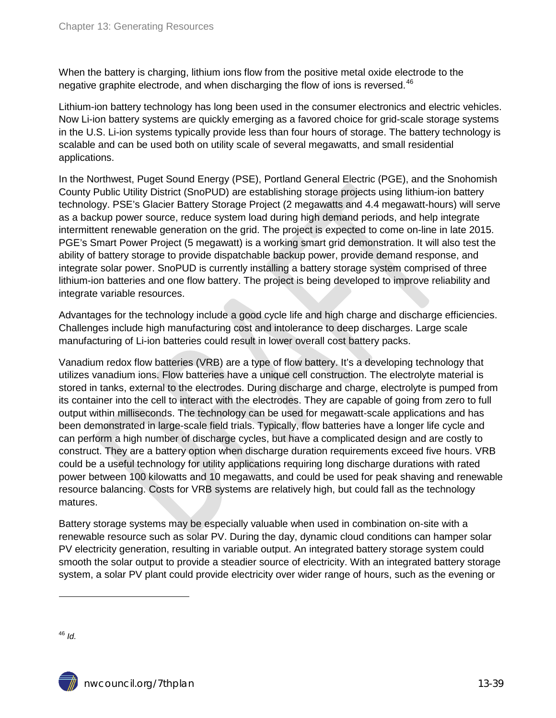When the battery is charging, lithium ions flow from the positive metal oxide electrode to the negative graphite electrode, and when discharging the flow of ions is reversed.<sup>[46](#page-37-1)</sup>

Lithium-ion battery technology has long been used in the consumer electronics and electric vehicles. Now Li-ion battery systems are quickly emerging as a favored choice for grid-scale storage systems in the U.S. Li-ion systems typically provide less than four hours of storage. The battery technology is scalable and can be used both on utility scale of several megawatts, and small residential applications.

In the Northwest, Puget Sound Energy (PSE), Portland General Electric (PGE), and the Snohomish County Public Utility District (SnoPUD) are establishing storage projects using lithium-ion battery technology. PSE's Glacier Battery Storage Project (2 megawatts and 4.4 megawatt-hours) will serve as a backup power source, reduce system load during high demand periods, and help integrate intermittent renewable generation on the grid. The project is expected to come on-line in late 2015. PGE's Smart Power Project (5 megawatt) is a working smart grid demonstration. It will also test the ability of battery storage to provide dispatchable backup power, provide demand response, and integrate solar power. SnoPUD is currently installing a battery storage system comprised of three lithium-ion batteries and one flow battery. The project is being developed to improve reliability and integrate variable resources.

Advantages for the technology include a good cycle life and high charge and discharge efficiencies. Challenges include high manufacturing cost and intolerance to deep discharges. Large scale manufacturing of Li-ion batteries could result in lower overall cost battery packs.

Vanadium redox flow batteries (VRB) are a type of flow battery. It's a developing technology that utilizes vanadium ions. Flow batteries have a unique cell construction. The electrolyte material is stored in tanks, external to the electrodes. During discharge and charge, electrolyte is pumped from its container into the cell to interact with the electrodes. They are capable of going from zero to full output within milliseconds. The technology can be used for megawatt-scale applications and has been demonstrated in large-scale field trials. Typically, flow batteries have a longer life cycle and can perform a high number of discharge cycles, but have a complicated design and are costly to construct. They are a battery option when discharge duration requirements exceed five hours. VRB could be a useful technology for utility applications requiring long discharge durations with rated power between 100 kilowatts and 10 megawatts, and could be used for peak shaving and renewable resource balancing. Costs for VRB systems are relatively high, but could fall as the technology matures.

Battery storage systems may be especially valuable when used in combination on-site with a renewable resource such as solar PV. During the day, dynamic cloud conditions can hamper solar PV electricity generation, resulting in variable output. An integrated battery storage system could smooth the solar output to provide a steadier source of electricity. With an integrated battery storage system, a solar PV plant could provide electricity over wider range of hours, such as the evening or

<span id="page-38-0"></span><sup>46</sup> *Id.*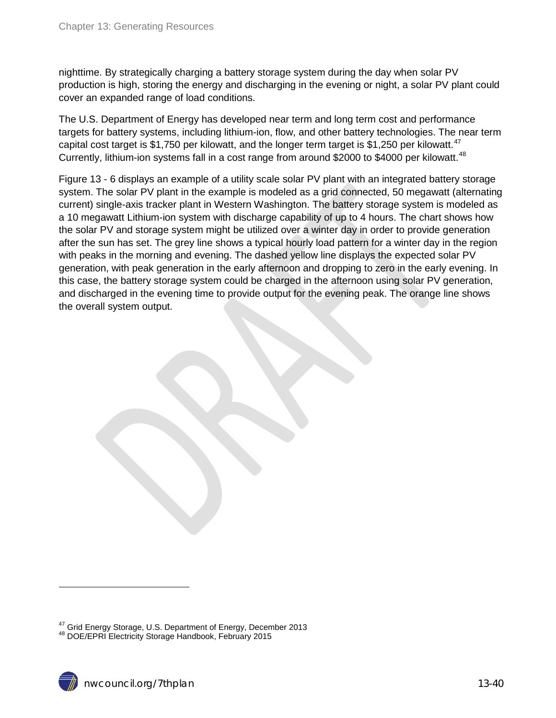nighttime. By strategically charging a battery storage system during the day when solar PV production is high, storing the energy and discharging in the evening or night, a solar PV plant could cover an expanded range of load conditions.

The U.S. Department of Energy has developed near term and long term cost and performance targets for battery systems, including lithium-ion, flow, and other battery technologies. The near term capital cost target is \$1,750 per kilowatt, and the longer term target is \$1,250 per kilowatt.<sup>[47](#page-38-0)</sup> Currently, lithium-ion systems fall in a cost range from around \$2000 to \$4000 per kilowatt.<sup>[48](#page-39-0)</sup>

Figure 13 - 6 displays an example of a utility scale solar PV plant with an integrated battery storage system. The solar PV plant in the example is modeled as a grid connected, 50 megawatt (alternating current) single-axis tracker plant in Western Washington. The battery storage system is modeled as a 10 megawatt Lithium-ion system with discharge capability of up to 4 hours. The chart shows how the solar PV and storage system might be utilized over a winter day in order to provide generation after the sun has set. The grey line shows a typical hourly load pattern for a winter day in the region with peaks in the morning and evening. The dashed yellow line displays the expected solar PV generation, with peak generation in the early afternoon and dropping to zero in the early evening. In this case, the battery storage system could be charged in the afternoon using solar PV generation, and discharged in the evening time to provide output for the evening peak. The orange line shows the overall system output.

<span id="page-39-1"></span><span id="page-39-0"></span><sup>&</sup>lt;sup>47</sup> Grid Energy Storage, U.S. Department of Energy, December 2013<br><sup>48</sup> DOE/EPRI Electricity Storage Handbook, February 2015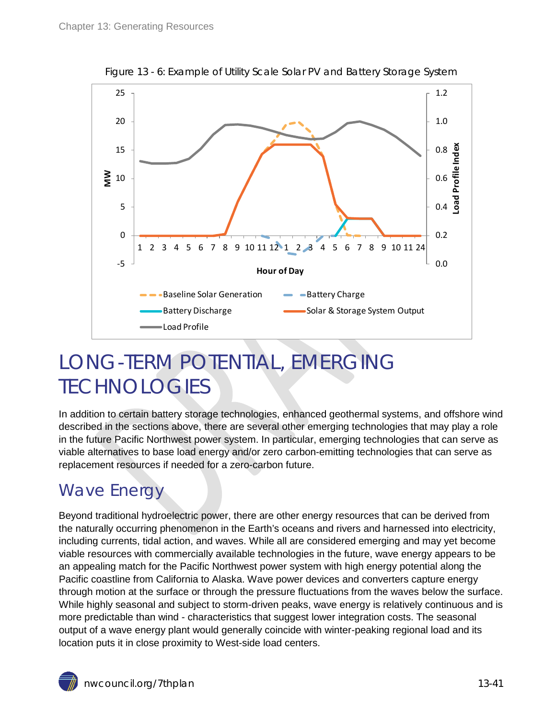<span id="page-40-2"></span>

Figure 13 - 6: Example of Utility Scale Solar PV and Battery Storage System

# <span id="page-40-0"></span>LONG-TERM POTENTIAL, EMERGING **TECHNOLOGIES**

In addition to certain battery storage technologies, enhanced geothermal systems, and offshore wind described in the sections above, there are several other emerging technologies that may play a role in the future Pacific Northwest power system. In particular, emerging technologies that can serve as viable alternatives to base load energy and/or zero carbon-emitting technologies that can serve as replacement resources if needed for a zero-carbon future.

## <span id="page-40-1"></span>Wave Energy

Beyond traditional hydroelectric power, there are other energy resources that can be derived from the naturally occurring phenomenon in the Earth's oceans and rivers and harnessed into electricity, including currents, tidal action, and waves. While all are considered emerging and may yet become viable resources with commercially available technologies in the future, wave energy appears to be an appealing match for the Pacific Northwest power system with high energy potential along the Pacific coastline from California to Alaska. Wave power devices and converters capture energy through motion at the surface or through the pressure fluctuations from the waves below the surface. While highly seasonal and subject to storm-driven peaks, wave energy is relatively continuous and is more predictable than wind - characteristics that suggest lower integration costs. The seasonal output of a wave energy plant would generally coincide with winter-peaking regional load and its location puts it in close proximity to West-side load centers.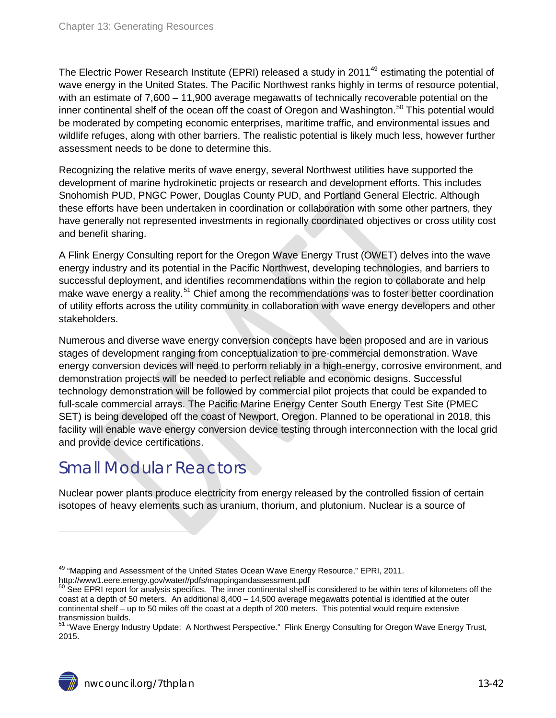The Electric Power Research Institute (EPRI) released a study in 2011<sup>[49](#page-39-1)</sup> estimating the potential of wave energy in the United States. The Pacific Northwest ranks highly in terms of resource potential, with an estimate of 7,600 – 11,900 average megawatts of technically recoverable potential on the inner continental shelf of the ocean off the coast of Oregon and Washington.<sup>[50](#page-41-1)</sup> This potential would be moderated by competing economic enterprises, maritime traffic, and environmental issues and wildlife refuges, along with other barriers. The realistic potential is likely much less, however further assessment needs to be done to determine this.

Recognizing the relative merits of wave energy, several Northwest utilities have supported the development of marine hydrokinetic projects or research and development efforts. This includes Snohomish PUD, PNGC Power, Douglas County PUD, and Portland General Electric. Although these efforts have been undertaken in coordination or collaboration with some other partners, they have generally not represented investments in regionally coordinated objectives or cross utility cost and benefit sharing.

A Flink Energy Consulting report for the Oregon Wave Energy Trust (OWET) delves into the wave energy industry and its potential in the Pacific Northwest, developing technologies, and barriers to successful deployment, and identifies recommendations within the region to collaborate and help make wave energy a reality.<sup>[51](#page-41-2)</sup> Chief among the recommendations was to foster better coordination of utility efforts across the utility community in collaboration with wave energy developers and other stakeholders.

Numerous and diverse wave energy conversion concepts have been proposed and are in various stages of development ranging from conceptualization to pre-commercial demonstration. Wave energy conversion devices will need to perform reliably in a high-energy, corrosive environment, and demonstration projects will be needed to perfect reliable and economic designs. Successful technology demonstration will be followed by commercial pilot projects that could be expanded to full-scale commercial arrays. The Pacific Marine Energy Center South Energy Test Site (PMEC SET) is being developed off the coast of Newport, Oregon. Planned to be operational in 2018, this facility will enable wave energy conversion device testing through interconnection with the local grid and provide device certifications.

## <span id="page-41-0"></span>Small Modular Reactors

Nuclear power plants produce electricity from energy released by the controlled fission of certain isotopes of heavy elements such as uranium, thorium, and plutonium. Nuclear is a source of

<sup>&</sup>lt;sup>49</sup> "Mapping and Assessment of the United States Ocean Wave Energy Resource," EPRI, 2011.<br>http://www1.eere.energy.gov/water//pdfs/mappingandassessment.pdf

<span id="page-41-1"></span>See EPRI report for analysis specifics. The inner continental shelf is considered to be within tens of kilometers off the coast at a depth of 50 meters. An additional 8,400 – 14,500 average megawatts potential is identified at the outer continental shelf – up to 50 miles off the coast at a depth of 200 meters. This potential would require extensive transmission builds.

<span id="page-41-2"></span><sup>51</sup> "Wave Energy Industry Update: A Northwest Perspective." Flink Energy Consulting for Oregon Wave Energy Trust, 2015.